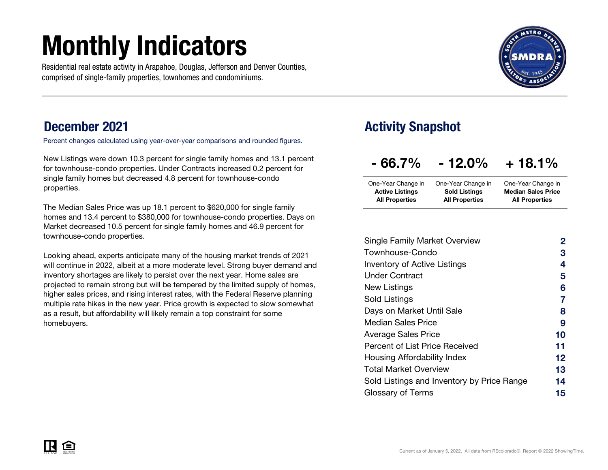# Monthly Indicators

Residential real estate activity in Arapahoe, Douglas, Jefferson and Denver Counties, comprised of single-family properties, townhomes and condominiums.



### December 2021

Percent changes calculated using year-over-year comparisons and rounded figures.

New Listings were down 10.3 percent for single family homes and 13.1 percent for townhouse-condo properties. Under Contracts increased 0.2 percent for single family homes but decreased 4.8 percent for townhouse-condo properties.

The Median Sales Price was up 18.1 percent to \$620,000 for single family homes and 13.4 percent to \$380,000 for townhouse-condo properties. Days on Market decreased 10.5 percent for single family homes and 46.9 percent for townhouse-condo properties.

Looking ahead, experts anticipate many of the housing market trends of 2021 will continue in 2022, albeit at a more moderate level. Strong buyer demand and inventory shortages are likely to persist over the next year. Home sales are projected to remain strong but will be tempered by the limited supply of homes, higher sales prices, and rising interest rates, with the Federal Reserve planning multiple rate hikes in the new year. Price growth is expected to slow somewhat as a result, but affordability will likely remain a top constraint for some homebuyers.

### Activity Snapshot

| $-66.7%$ | $-12.0\%$ | $+18.1%$ |
|----------|-----------|----------|
|          |           |          |

| One-Year Change in    | One-Year Change in        |
|-----------------------|---------------------------|
| <b>Sold Listings</b>  | <b>Median Sales Price</b> |
| <b>All Properties</b> | <b>All Properties</b>     |
|                       |                           |

| <b>Single Family Market Overview</b>       | 2  |
|--------------------------------------------|----|
| Townhouse-Condo                            | З  |
| <b>Inventory of Active Listings</b>        | 4  |
| <b>Under Contract</b>                      | 5  |
| New Listings                               | 6  |
| Sold Listings                              | 7  |
| Days on Market Until Sale                  | 8  |
| Median Sales Price                         | 9  |
| <b>Average Sales Price</b>                 | 10 |
| Percent of List Price Received             | 11 |
| Housing Affordability Index                | 12 |
| <b>Total Market Overview</b>               | 13 |
| Sold Listings and Inventory by Price Range | 14 |
| Glossary of Terms                          | 15 |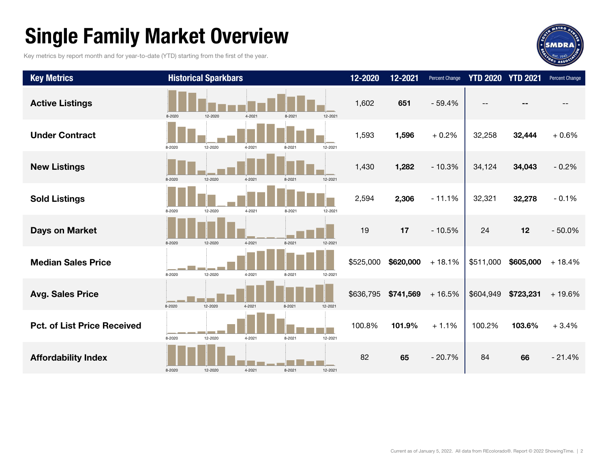## Single Family Market Overview

Key metrics by report month and for year-to-date (YTD) starting from the first of the year.



| <b>Key Metrics</b>                 |        | <b>Historical Sparkbars</b> |        |        |         | 12-2020   | 12-2021   | Percent Change | <b>YTD 2020</b> | <b>YTD 2021</b> | Percent Change |
|------------------------------------|--------|-----------------------------|--------|--------|---------|-----------|-----------|----------------|-----------------|-----------------|----------------|
| <b>Active Listings</b>             | 8-2020 | 12-2020                     | 4-2021 | 8-2021 | 12-2021 | 1,602     | 651       | $-59.4%$       | $- -$           |                 |                |
| <b>Under Contract</b>              | 8-2020 | 12-2020                     | 4-2021 | 8-2021 | 12-2021 | 1,593     | 1,596     | $+0.2%$        | 32,258          | 32,444          | $+0.6%$        |
| <b>New Listings</b>                | 8-2020 | 12-2020                     | 4-2021 | 8-2021 | 12-2021 | 1,430     | 1,282     | $-10.3%$       | 34,124          | 34,043          | $-0.2%$        |
| <b>Sold Listings</b>               | 8-2020 | 12-2020                     | 4-2021 | 8-2021 | 12-2021 | 2,594     | 2,306     | $-11.1%$       | 32,321          | 32,278          | $-0.1%$        |
| Days on Market                     | 8-2020 | 12-2020                     | 4-2021 | 8-2021 | 12-2021 | 19        | 17        | $-10.5%$       | 24              | 12              | $-50.0%$       |
| <b>Median Sales Price</b>          | 8-2020 | 12-2020                     | 4-2021 | 8-2021 | 12-2021 | \$525,000 | \$620,000 | $+18.1%$       | \$511,000       | \$605,000       | $+18.4%$       |
| <b>Avg. Sales Price</b>            | 8-2020 | 12-2020                     | 4-2021 | 8-2021 | 12-2021 | \$636,795 | \$741,569 | $+16.5%$       | \$604,949       | \$723,231       | $+19.6%$       |
| <b>Pct. of List Price Received</b> | 8-2020 | 12-2020                     | 4-2021 | 8-2021 | 12-2021 | 100.8%    | 101.9%    | $+1.1%$        | 100.2%          | 103.6%          | $+3.4%$        |
| <b>Affordability Index</b>         | 8-2020 | 12-2020                     | 4-2021 | 8-2021 | 12-2021 | 82        | 65        | $-20.7%$       | 84              | 66              | $-21.4%$       |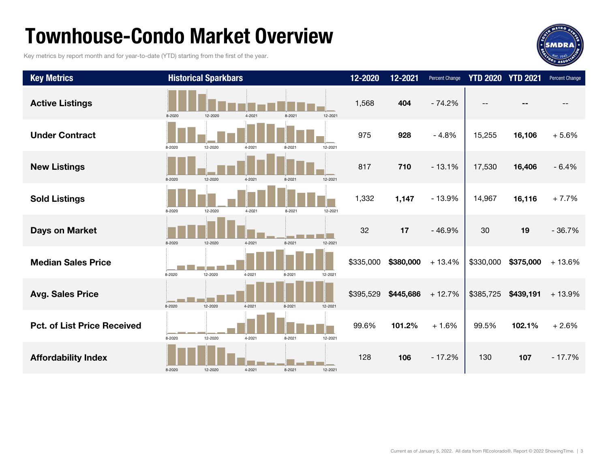## Townhouse-Condo Market Overview

Key metrics by report month and for year-to-date (YTD) starting from the first of the year.



| <b>Key Metrics</b>                 |        | <b>Historical Sparkbars</b> |        |        |         | 12-2020   | 12-2021   | Percent Change |           | <b>YTD 2020 YTD 2021</b> | Percent Change |
|------------------------------------|--------|-----------------------------|--------|--------|---------|-----------|-----------|----------------|-----------|--------------------------|----------------|
| <b>Active Listings</b>             | 8-2020 | 12-2020                     | 4-2021 | 8-2021 | 12-2021 | 1,568     | 404       | $-74.2%$       |           |                          |                |
| <b>Under Contract</b>              | 8-2020 | 12-2020                     | 4-2021 | 8-2021 | 12-2021 | 975       | 928       | $-4.8%$        | 15,255    | 16,106                   | $+5.6%$        |
| <b>New Listings</b>                | 8-2020 | 12-2020                     | 4-2021 | 8-2021 | 12-2021 | 817       | 710       | $-13.1%$       | 17,530    | 16,406                   | $-6.4%$        |
| <b>Sold Listings</b>               | 8-2020 | 12-2020                     | 4-2021 | 8-2021 | 12-2021 | 1,332     | 1,147     | $-13.9%$       | 14,967    | 16,116                   | $+7.7%$        |
| <b>Days on Market</b>              | 8-2020 | 12-2020                     | 4-2021 | 8-2021 | 12-2021 | 32        | 17        | $-46.9%$       | 30        | 19                       | $-36.7%$       |
| <b>Median Sales Price</b>          | 8-2020 | 12-2020                     | 4-2021 | 8-2021 | 12-2021 | \$335,000 | \$380,000 | $+13.4%$       | \$330,000 | \$375,000                | $+13.6%$       |
| <b>Avg. Sales Price</b>            | 8-2020 | 12-2020                     | 4-2021 | 8-2021 | 12-2021 | \$395,529 | \$445,686 | $+12.7%$       | \$385,725 | \$439,191                | $+13.9%$       |
| <b>Pct. of List Price Received</b> | 8-2020 | 12-2020                     | 4-2021 | 8-2021 | 12-2021 | 99.6%     | 101.2%    | $+1.6%$        | 99.5%     | 102.1%                   | $+2.6%$        |
| <b>Affordability Index</b>         | 8-2020 | 12-2020                     | 4-2021 | 8-2021 | 12-2021 | 128       | 106       | $-17.2%$       | 130       | 107                      | $-17.7%$       |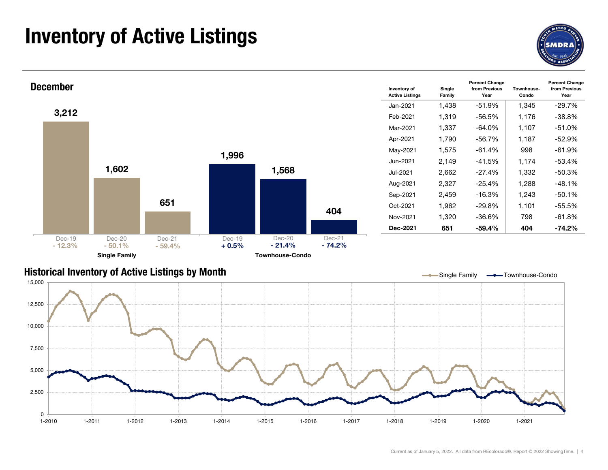## Inventory of Active Listings





### Historical Inventory of Active Listings by Month

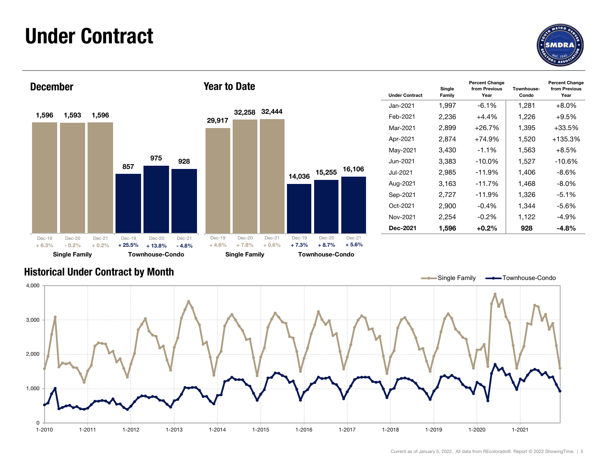### Under Contract





| <b>Year to Date</b> |               |        |        |        | <b>Under Contract</b> | Single<br>Family | <b>Percent Change</b><br>from Previous<br>Year | Townhouse-<br>Condo | <b>Percent Change</b><br>from Previous<br>Year |
|---------------------|---------------|--------|--------|--------|-----------------------|------------------|------------------------------------------------|---------------------|------------------------------------------------|
|                     |               |        |        |        | Jan-2021              | 1,997            | $-6.1%$                                        | 1,281               | $+8.0%$                                        |
| 29,917              | 32,258 32,444 |        |        |        | Feb-2021              | 2,236            | $+4.4%$                                        | 1,226               | $+9.5%$                                        |
|                     |               |        |        |        | Mar-2021              | 2,899            | $+26.7%$                                       | 1,395               | $+33.5%$                                       |
|                     |               |        |        |        | Apr-2021              | 2,874            | $+74.9%$                                       | 1,520               | $+135.3%$                                      |
|                     |               |        |        |        | May-2021              | 3,430            | $-1.1%$                                        | 1,563               | $+8.5%$                                        |
|                     |               |        |        |        | Jun-2021              | 3,383            | $-10.0\%$                                      | 1,527               | -10.6%                                         |
|                     |               | 14,036 | 15,255 | 16,106 | Jul-2021              | 2,985            | $-11.9%$                                       | 1,406               | -8.6%                                          |
|                     |               |        |        |        | Aug-2021              | 3,163            | $-11.7%$                                       | 1,468               | $-8.0\%$                                       |
|                     |               |        |        |        | Sep-2021              | 2,727            | $-11.9%$                                       | 1,326               | -5.1%                                          |
|                     |               |        |        |        | Oct-2021              | 2,900            | $-0.4%$                                        | 1,344               | $-5.6%$                                        |
|                     |               |        |        |        | Nov-2021              | 2,254            | $-0.2%$                                        | 1,122               | $-4.9%$                                        |
|                     |               |        |        |        | Dec-2021              | 1,596            | $+0.2\%$                                       | 928                 | -4.8%                                          |

### Historical Under Contract by Month



+ 5.6%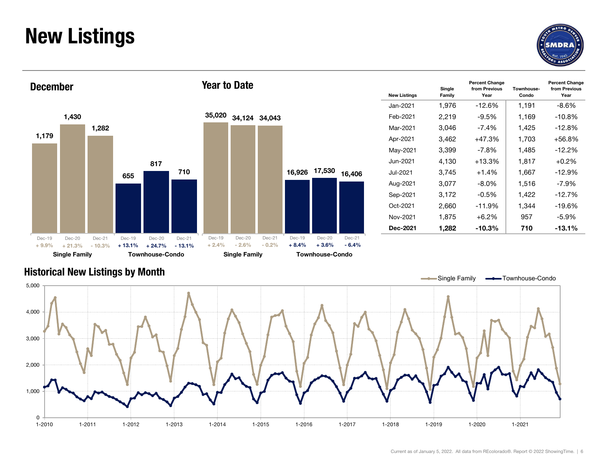## New Listings





| <b>Year to Date</b> |               |        |        |        | <b>New Listings</b> | Single<br>Family | <b>Percent Change</b><br>from Previous<br>Year | Townhouse-<br>Condo | <b>Percent Change</b><br>from Previous<br>Year |
|---------------------|---------------|--------|--------|--------|---------------------|------------------|------------------------------------------------|---------------------|------------------------------------------------|
|                     |               |        |        |        | Jan-2021            | 1,976            | $-12.6%$                                       | 1,191               | $-8.6\%$                                       |
| 35,020              | 34,124 34,043 |        |        |        | Feb-2021            | 2,219            | $-9.5%$                                        | 1,169               | $-10.8%$                                       |
|                     |               |        |        |        | Mar-2021            | 3,046            | $-7.4%$                                        | 1,425               | $-12.8%$                                       |
|                     |               |        |        |        | Apr-2021            | 3,462            | $+47.3%$                                       | 1,703               | $+56.8%$                                       |
|                     |               |        |        |        | May-2021            | 3,399            | $-7.8%$                                        | 1,485               | $-12.2%$                                       |
|                     |               |        |        |        | Jun-2021            | 4,130            | $+13.3%$                                       | 1,817               | $+0.2%$                                        |
|                     |               | 16,926 | 17,530 | 16,406 | Jul-2021            | 3,745            | $+1.4%$                                        | 1,667               | $-12.9%$                                       |
|                     |               |        |        |        | Aug-2021            | 3,077            | $-8.0\%$                                       | 1,516               | -7.9%                                          |
|                     |               |        |        |        | Sep-2021            | 3,172            | $-0.5%$                                        | 1,422               | $-12.7%$                                       |
|                     |               |        |        |        | Oct-2021            | 2,660            | $-11.9%$                                       | 1,344               | $-19.6%$                                       |
|                     |               |        |        |        | Nov-2021            | 1,875            | $+6.2%$                                        | 957                 | $-5.9%$                                        |
|                     |               |        |        |        | Dec-2021            | 1,282            | $-10.3\%$                                      | 710                 | $-13.1%$                                       |

### Historical New Listings by Month

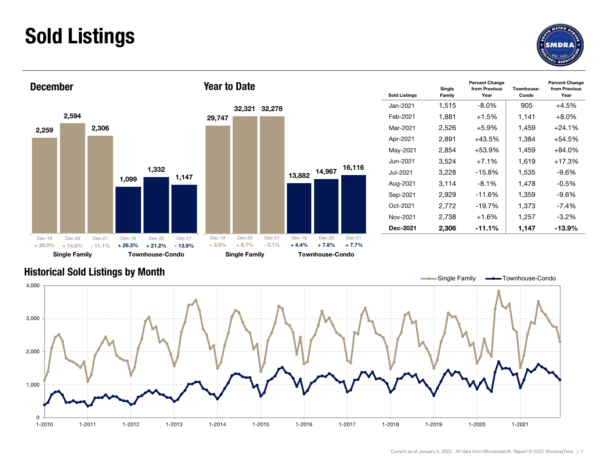## Sold Listings





| <b>Year to Date</b> |        |        |        |        |        | <b>Sold Listings</b> | Single<br>Family | <b>Percent Change</b><br>from Previous<br>Year | Townhouse-<br>Condo | <b>Percent Change</b><br>from Previous<br>Year |
|---------------------|--------|--------|--------|--------|--------|----------------------|------------------|------------------------------------------------|---------------------|------------------------------------------------|
|                     | 32,321 | 32,278 |        |        |        | Jan-2021             | 1,515            | $-8.0%$                                        | 905                 | $+4.5%$                                        |
| 29,747              |        |        |        |        |        | Feb-2021             | 1,881            | $+1.5%$                                        | 1,141               | $+8.0%$                                        |
|                     |        |        |        |        |        | Mar-2021             | 2,526            | $+5.9%$                                        | 1,459               | $+24.1%$                                       |
|                     |        |        |        |        |        | Apr-2021             | 2,891            | $+43.5%$                                       | 1,384               | $+54.5%$                                       |
|                     |        |        |        |        |        | May-2021             | 2,854            | $+53.9%$                                       | 1,459               | $+84.0%$                                       |
|                     |        |        |        |        |        | Jun-2021             | 3,524            | $+7.1%$                                        | 1,619               | $+17.3%$                                       |
|                     |        |        | 13,882 | 14,967 | 16,116 | Jul-2021             | 3,228            | $-15.8%$                                       | 1,535               | $-9.6%$                                        |
|                     |        |        |        |        |        | Aug-2021             | 3,114            | $-8.1%$                                        | 1,478               | $-0.5%$                                        |
|                     |        |        |        |        |        | Sep-2021             | 2,929            | $-11.6%$                                       | 1,359               | $-9.6%$                                        |
|                     |        |        |        |        |        | Oct-2021             | 2,772            | -19.7%                                         | 1,373               | $-7.4%$                                        |
|                     |        |        |        |        |        | Nov-2021             | 2,738            | $+1.6%$                                        | 1,257               | $-3.2\%$                                       |
|                     |        |        |        |        |        | Dec-2021             | 2,306            | $-11.1%$                                       | 1,147               | $-13.9%$                                       |

### Historical Sold Listings by Month



+ 7.7%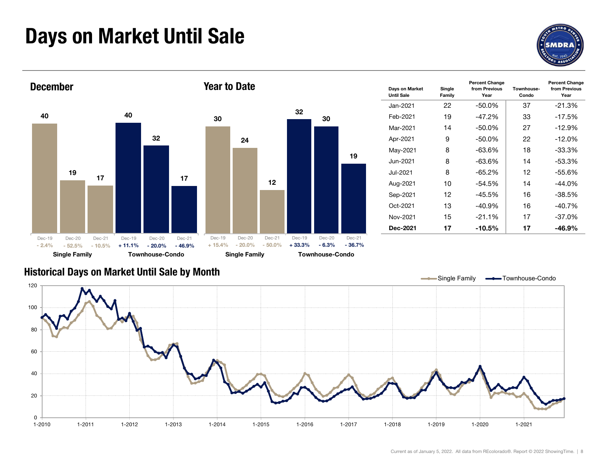## Days on Market Until Sale





### Historical Days on Market Until Sale by Month

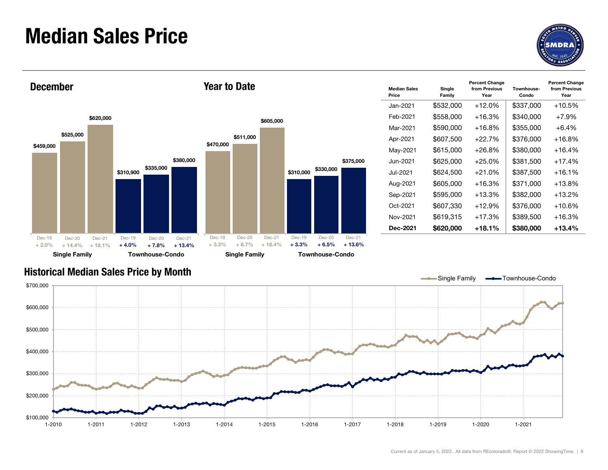### Median Sales Price





| <b>Year to Date</b> |           |           |           |           |           | <b>Median Sales</b><br>Price | Single<br>Family | <b>Percent Change</b><br>from Previous<br>Year | Townhouse-<br>Condo | <b>Percent Change</b><br>from Previous<br>Year |
|---------------------|-----------|-----------|-----------|-----------|-----------|------------------------------|------------------|------------------------------------------------|---------------------|------------------------------------------------|
|                     |           |           |           |           |           | Jan-2021                     | \$532,000        | $+12.0%$                                       | \$337,000           | $+10.5%$                                       |
|                     |           | \$605,000 |           |           |           | Feb-2021                     | \$558,000        | $+16.3%$                                       | \$340,000           | $+7.9%$                                        |
|                     |           |           |           |           |           | Mar-2021                     | \$590,000        | $+16.8%$                                       | \$355,000           | $+6.4%$                                        |
|                     | \$511,000 |           |           |           |           | Apr-2021                     | \$607,500        | $+22.7%$                                       | \$376,000           | $+16.8%$                                       |
| \$470,000           |           |           |           |           |           | May-2021                     | \$615,000        | $+26.8%$                                       | \$380,000           | $+16.4%$                                       |
|                     |           |           |           |           | \$375,000 | Jun-2021                     | \$625,000        | $+25.0%$                                       | \$381,500           | $+17.4%$                                       |
|                     |           |           | \$310,000 | \$330,000 |           | Jul-2021                     | \$624,500        | $+21.0%$                                       | \$387,500           | $+16.1%$                                       |
|                     |           |           |           |           |           | Aug-2021                     | \$605,000        | $+16.3%$                                       | \$371,000           | $+13.8%$                                       |
|                     |           |           |           |           |           | Sep-2021                     | \$595,000        | $+13.3%$                                       | \$382,000           | $+13.2%$                                       |
|                     |           |           |           |           |           | Oct-2021                     | \$607,330        | $+12.9%$                                       | \$376,000           | $+10.6%$                                       |
|                     |           |           |           |           |           | Nov-2021                     | \$619,315        | $+17.3%$                                       | \$389,500           | $+16.3%$                                       |
|                     |           |           |           |           |           | Dec-2021                     | \$620,000        | $+18.1%$                                       | \$380,000           | $+13.4%$                                       |

### Historical Median Sales Price by Month

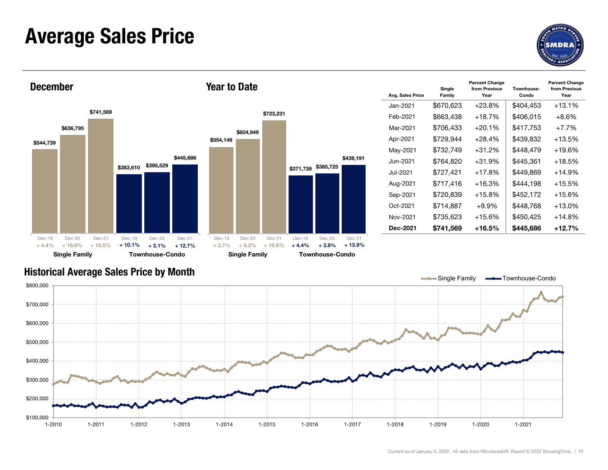### Average Sales Price





|                   |                   |                    |                   |                   |                    | Avg. S  |
|-------------------|-------------------|--------------------|-------------------|-------------------|--------------------|---------|
|                   |                   |                    |                   |                   |                    | Jan-2   |
|                   |                   | \$723,231          |                   |                   |                    | Feb-    |
|                   | \$604,949         |                    |                   |                   |                    | Mar-    |
| 554,149           |                   |                    |                   |                   |                    | Apr-2   |
|                   |                   |                    |                   |                   |                    | May-    |
|                   |                   |                    |                   |                   | \$439,191          | Jun-    |
|                   |                   |                    | \$371,739         | \$385,725         |                    | $Jul-2$ |
|                   |                   |                    |                   |                   |                    | Aug-    |
|                   |                   |                    |                   |                   |                    | Sep-    |
|                   |                   |                    |                   |                   |                    | Oct-2   |
|                   |                   |                    |                   |                   |                    | Nov-    |
|                   |                   |                    |                   |                   |                    | Dec-    |
| Dec-19<br>$+2.7%$ | Dec-20<br>$+9.2%$ | Dec-21<br>$+19.6%$ | Dec-19<br>$+4.4%$ | Dec-20<br>$+3.8%$ | Dec-21<br>$+13.9%$ |         |

| <b>Year to Date</b> |           |           |           |           |           | Avg. Sales Price | Single<br>Family | <b>Percent Change</b><br>from Previous<br>Year | Townhouse-<br>Condo | <b>Percent Change</b><br>from Previous<br>Year |
|---------------------|-----------|-----------|-----------|-----------|-----------|------------------|------------------|------------------------------------------------|---------------------|------------------------------------------------|
|                     |           |           |           |           |           | Jan-2021         | \$670,623        | $+23.8%$                                       | \$404,453           | $+13.1%$                                       |
|                     |           | \$723,231 |           |           |           | Feb-2021         | \$663,438        | $+18.7%$                                       | \$406,015           | $+8.6%$                                        |
|                     | \$604,949 |           |           |           |           | Mar-2021         | \$706,433        | $+20.1%$                                       | \$417,753           | $+7.7%$                                        |
| \$554,149           |           |           |           |           |           | Apr-2021         | \$729,944        | $+28.4%$                                       | \$439,832           | $+13.5%$                                       |
|                     |           |           |           |           |           | May-2021         | \$732,749        | $+31.2%$                                       | \$448,479           | $+19.6%$                                       |
|                     |           |           |           |           | \$439,191 | Jun-2021         | \$764,820        | $+31.9%$                                       | \$445,361           | $+18.5%$                                       |
|                     |           |           | \$371,739 | \$385,725 |           | Jul-2021         | \$727,421        | $+17.8%$                                       | \$449,869           | $+14.9%$                                       |
|                     |           |           |           |           |           | Aug-2021         | \$717,416        | $+16.3%$                                       | \$444,198           | $+15.5%$                                       |
|                     |           |           |           |           |           | Sep-2021         | \$720,839        | $+15.8%$                                       | \$452,172           | $+15.6%$                                       |
|                     |           |           |           |           |           | Oct-2021         | \$714,887        | $+9.9%$                                        | \$448,768           | $+13.0%$                                       |
|                     |           |           |           |           |           | Nov-2021         | \$735,623        | $+15.6%$                                       | \$450,425           | $+14.8%$                                       |
|                     |           |           |           |           |           | Dec-2021         | \$741,569        | $+16.5%$                                       | \$445,686           | $+12.7%$                                       |

### Historical Average Sales Price by Month

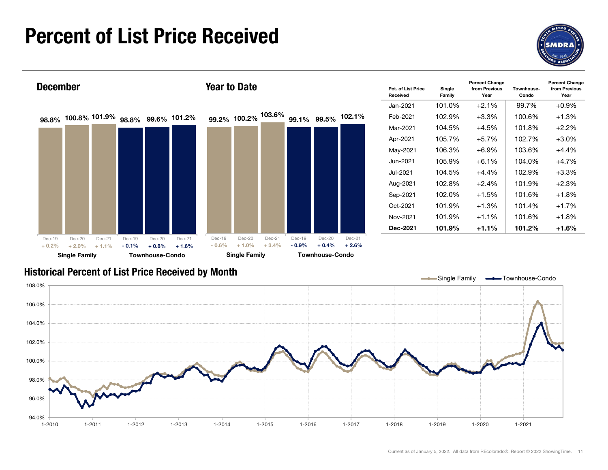## Percent of List Price Received





### Historical Percent of List Price Received by Month

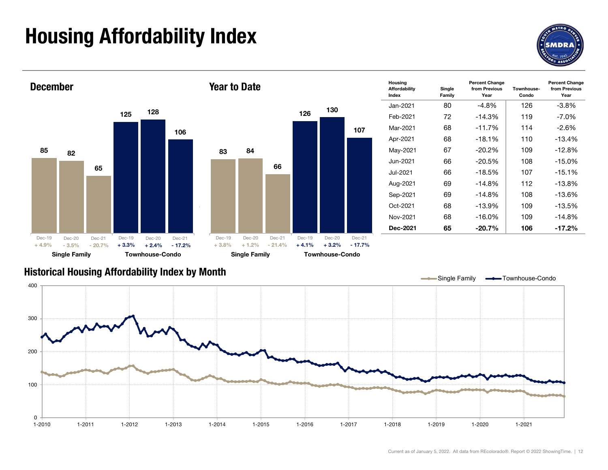## Housing Affordability Index



Year



### Historical Housing Affordability Index by Mont h

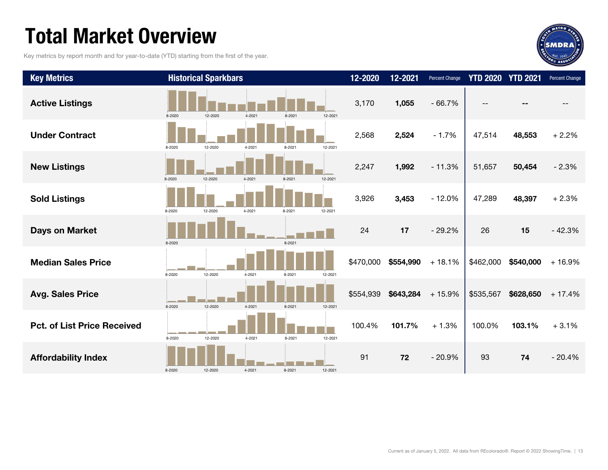## Total Market Overview

Key metrics by report month and for year-to-date (YTD) starting from the first of the year.



| <b>Key Metrics</b>                 |        | <b>Historical Sparkbars</b> |        |        |         | 12-2020   | 12-2021   | <b>Percent Change</b> | <b>YTD 2020</b> | <b>YTD 2021</b> | Percent Change |
|------------------------------------|--------|-----------------------------|--------|--------|---------|-----------|-----------|-----------------------|-----------------|-----------------|----------------|
| <b>Active Listings</b>             | 8-2020 | 12-2020                     | 4-2021 | 8-2021 | 12-2021 | 3,170     | 1,055     | $-66.7%$              |                 |                 |                |
| <b>Under Contract</b>              | 8-2020 | 12-2020                     | 4-2021 | 8-2021 | 12-2021 | 2,568     | 2,524     | $-1.7%$               | 47,514          | 48,553          | $+2.2%$        |
| <b>New Listings</b>                | 8-2020 | 12-2020                     | 4-2021 | 8-2021 | 12-2021 | 2,247     | 1,992     | $-11.3%$              | 51,657          | 50,454          | $-2.3%$        |
| <b>Sold Listings</b>               | 8-2020 | 12-2020                     | 4-2021 | 8-2021 | 12-2021 | 3,926     | 3,453     | $-12.0%$              | 47,289          | 48,397          | $+2.3%$        |
| <b>Days on Market</b>              | 8-2020 |                             |        | 8-2021 |         | 24        | 17        | $-29.2%$              | 26              | 15              | $-42.3%$       |
| <b>Median Sales Price</b>          | 8-2020 | 12-2020                     | 4-2021 | 8-2021 | 12-2021 | \$470,000 | \$554,990 | $+18.1%$              | \$462,000       | \$540,000       | $+16.9%$       |
| <b>Avg. Sales Price</b>            | 8-2020 | 12-2020                     | 4-2021 | 8-2021 | 12-2021 | \$554,939 | \$643,284 | $+15.9%$              | \$535,567       | \$628,650       | $+17.4%$       |
| <b>Pct. of List Price Received</b> | 8-2020 | 12-2020                     | 4-2021 | 8-2021 | 12-2021 | 100.4%    | 101.7%    | $+1.3%$               | 100.0%          | 103.1%          | $+3.1%$        |
| <b>Affordability Index</b>         | 8-2020 | 12-2020                     | 4-2021 | 8-2021 | 12-2021 | 91        | 72        | $-20.9%$              | 93              | 74              | $-20.4%$       |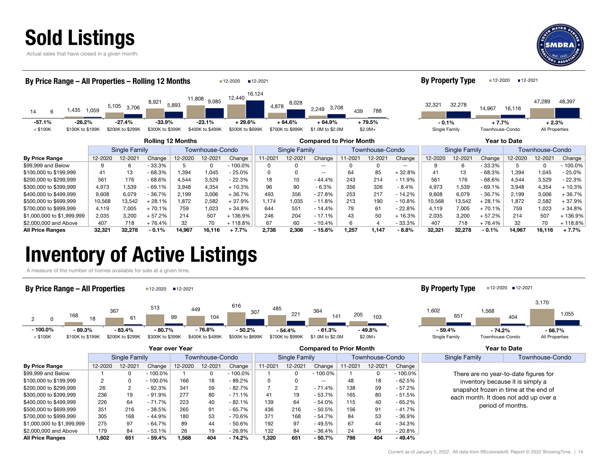



| By Price Range - All Properties - Rolling 12 Months |         |                  |                          |                 |                              | ■12-2020         | ■12-2021        |                              |                                |         |                      |               | <b>By Property Type</b> |               | ■12-2020        | ■12-2021            |                 |            |
|-----------------------------------------------------|---------|------------------|--------------------------|-----------------|------------------------------|------------------|-----------------|------------------------------|--------------------------------|---------|----------------------|---------------|-------------------------|---------------|-----------------|---------------------|-----------------|------------|
| 1,435<br>14<br>6                                    | 1,059   | 5,105<br>3,706   | 8,921                    | 11,808<br>5,893 | 9,085                        | 12,440           | 16.124<br>4,878 | 8,028                        | 3,708<br>2,249                 | 439     | 788                  |               | 32,321                  | 32,278        | 14,967          | 16,116              | 47,289          | 48,397     |
| $-26.2%$<br>$-57.1%$                                |         | $-27.4%$         | -33.9%                   |                 | $-23.1%$<br>\$400K to \$499K | $+29.6%$         |                 | $+64.6%$<br>\$700K to \$999K | $+64.9%$                       |         | $+79.5%$<br>$$2.0M+$ |               | $-0.1%$                 |               | $+7.7%$         |                     | $+2.3%$         |            |
| $<$ \$100K<br>\$100K to \$199K                      |         | \$200K to \$299K | \$300K to \$399K         |                 |                              | \$500K to \$699K |                 |                              | \$1.0M to \$2.0M               |         |                      |               | Single Family           |               | Townhouse-Condo |                     | All Properties  |            |
|                                                     |         |                  | <b>Rolling 12 Months</b> |                 |                              |                  |                 |                              | <b>Compared to Prior Month</b> |         |                      |               |                         |               |                 | <b>Year to Date</b> |                 |            |
|                                                     |         | Single Family    |                          |                 | Townhouse-Condo              |                  |                 | Single Family                |                                |         | Townhouse-Condo      |               |                         | Single Family |                 |                     | Townhouse-Condo |            |
| <b>By Price Range</b>                               | 12-2020 | 12-2021          | Change                   | 12-2020         | 12-2021                      | Change           | 11-2021         | 12-2021                      | Change                         | 11-2021 | 12-2021              | Change        | 12-2020                 | 12-2021       | Change          | 12-2020             | 12-2021         | Change     |
| \$99,999 and Below                                  | 9       | 6                | $-33.3%$                 | 5               | 0                            | $-100.0\%$       | 0               | 0                            | $- -$                          |         | 0                    | $\sim$ $\sim$ | 9                       | 6             | - 33.3%         | 5                   | $\Omega$        | $-100.0\%$ |
| \$100,000 to \$199,999                              | 41      | 13               | $-68.3%$                 | 1.394           | 1,045                        | $-25.0%$         | <sup>0</sup>    | 0                            | $\frac{1}{2}$                  | 64      | 85                   | $+32.8%$      | 41                      | 13            | $-68.3%$        | 1,394               | 1,045           | $-25.0%$   |
| \$200,000 to \$299,999                              | 561     | 176              | $-68.6%$                 | 4,544           | 3,529                        | $-22.3%$         | 18              | 10                           | $-44.4%$                       | 243     | 214                  | $-11.9%$      | 561                     | 176           | $-68.6%$        | 4,544               | 3,529           | $-22.3%$   |
| \$300,000 to \$399,999                              | 4,973   | 1,539            | $-69.1%$                 | 3,948           | 4,354                        | $+10.3%$         | 96              | 90                           | $-6.3%$                        | 356     | 326                  | $-8.4%$       | 4,973                   | 1,539         | $-69.1%$        | 3,948               | 4,354           | + 10.3%    |
| \$400,000 to \$499,999                              | 9,608   | 6,079            | $-36.7%$                 | 2,199           | 3,006                        | $+36.7%$         | 493             | 356                          | $-27.8%$                       | 253     | 217                  | $-14.2%$      | 9,608                   | 6,079         | $-36.7%$        | 2,199               | 3,006           | +36.7%     |
| \$500,000 to \$699,999                              | 10,568  | 13,542           | $+28.1%$                 | 1,872           | 2,582                        | $+37.9%$         | 1.174           | 1,035                        | $-11.8%$                       | 213     | 190                  | $-10.8%$      | 10,568                  | 13,542        | $+28.1%$        | 1,872               | 2,582           | $+37.9%$   |
| \$700,000 to \$999,999                              | 4,119   | 7,005            | $+70.1%$                 | 759             | 1,023                        | $+34.8%$         | 644             | 551                          | $-14.4%$                       | 79      | 61                   | $-22.8%$      | 4.119                   | 7,005         | $+70.1%$        | 759                 | 1,023           | $+34.8%$   |
| \$1,000,000 to \$1,999,999                          | 2,035   | 3,200            | $+57.2%$                 | 214             | 507                          | + 136.9%         | 246             | 204                          | $-17.1%$                       | 43      | 50                   | $+16.3%$      | 2,035                   | 3,200         | $+57.2%$        | 214                 | 507             | +136.9%    |
| \$2,000,000 and Above                               | 407     | 718              | + 76.4%                  | 32              | 70                           | $+118.8%$        | 67              | 60                           | $-10.4%$                       | 6       | 4                    | $-33.3%$      | 407                     | 718           | $+76.4%$        | 32                  | 70              | $+118.8%$  |
| <b>All Price Ranges</b>                             | 32,321  | 32,278           | $-0.1%$                  | 14,967          | 16,116                       | $+7.7%$          | 2,738           | 2,306                        | $-15.8%$                       | 1.257   | 1,147                | $-8.8%$       | 32,321                  | 32,278        | $-0.1%$         | 14,967              | 16,116          | $+7.7%$    |

## Inventory of Active Listings

A measure of the number of homes available for sale at a given time.



|                            |         | Single Family |            |         | Townhouse-Condo |            |         | Single Family |               |        | Townhouse-Condo |            | Single Family | Townhouse-Condo                       |
|----------------------------|---------|---------------|------------|---------|-----------------|------------|---------|---------------|---------------|--------|-----------------|------------|---------------|---------------------------------------|
| <b>By Price Range</b>      | 12-2020 | 12-2021       | Change     | 12-2020 | 12-2021         | Change     | 11-2021 | 12-2021       | Change        | 1-2021 | 12-2021         | Change     |               |                                       |
| \$99,999 and Below         |         |               | $-100.0\%$ |         | 0               | $-100.0\%$ |         | 0             | $-100.0\%$    |        |                 | $-100.0\%$ |               | There are no year-to-date figures for |
| \$100,000 to \$199,999     | 2       |               | $-100.0\%$ | 166     | 18              | - 89.2%    | 0       | 0             | $\sim$ $\sim$ | 48     |                 | $-62.5%$   |               | inventory because it is simply a      |
| \$200,000 to \$299,999     | 26      |               | $-92.3%$   | 341     | 59              | $-82.7%$   |         |               | $-71.4%$      | 138    | 59              | $-57.2%$   |               | snapshot frozen in time at the end of |
| \$300,000 to \$399,999     | 236     | 19            | $-91.9%$   | 277     | 80              | $-71.1%$   | 41      | 19            | $-53.7%$      | 165    | 80              | $-51.5%$   |               | each month. It does not add up over a |
| \$400,000 to \$499,999     | 226     | 64            | - 71.7%    | 223     | 40              | $-82.1%$   | 139     | 64            | $-54.0%$      | 115    | 40              | $-65.2%$   |               | period of months.                     |
| \$500,000 to \$699,999     | 351     | 216           | - 38.5%    | 265     | 91              | $-65.7%$   | 436     | 216           | $-50.5%$      | 156    | 91              | $-41.7%$   |               |                                       |
| \$700,000 to \$999,999     | 305     | 168           | - 44.9%    | 180     | 53              | - 70.6%    | 371     | 168           | - 54.7%       | 84     | 53              | $-36.9%$   |               |                                       |
| \$1,000,000 to \$1,999,999 | 275     | 97            | - 64.7%    | 89      | 44              | $-50.6%$   | 192     | 97            | $-49.5%$      | 67     | 44              | $-34.3%$   |               |                                       |
| \$2,000,000 and Above      | 179     | 84            | - 53.1%    | 26      | 19              | $-26.9%$   | 132     | 84            | $-36.4%$      | 24     |                 | $-20.8%$   |               |                                       |
| <b>All Price Ranges</b>    | 1,602   | 651           | $-59.4%$   | 1.568   | 404             | $-74.2%$   | 1.320   | 651           | $-50.7%$      | 798    | 404             | $-49.4%$   |               |                                       |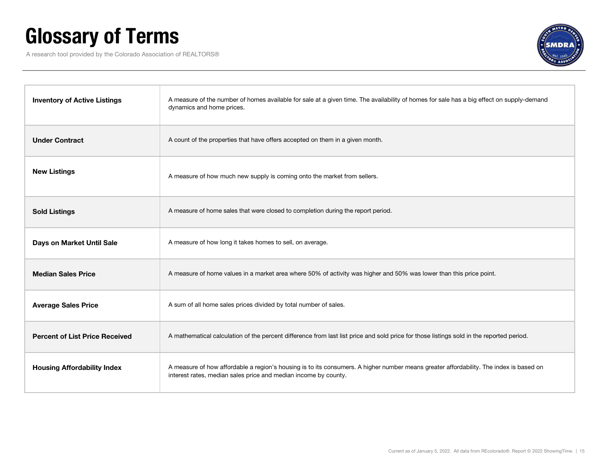## Glossary of Terms

A research tool provided by the Colorado Association of REALTORS®



| <b>Inventory of Active Listings</b>   | A measure of the number of homes available for sale at a given time. The availability of homes for sale has a big effect on supply-demand<br>dynamics and home prices.                                    |
|---------------------------------------|-----------------------------------------------------------------------------------------------------------------------------------------------------------------------------------------------------------|
| <b>Under Contract</b>                 | A count of the properties that have offers accepted on them in a given month.                                                                                                                             |
| <b>New Listings</b>                   | A measure of how much new supply is coming onto the market from sellers.                                                                                                                                  |
| <b>Sold Listings</b>                  | A measure of home sales that were closed to completion during the report period.                                                                                                                          |
| Days on Market Until Sale             | A measure of how long it takes homes to sell, on average.                                                                                                                                                 |
| <b>Median Sales Price</b>             | A measure of home values in a market area where 50% of activity was higher and 50% was lower than this price point.                                                                                       |
| <b>Average Sales Price</b>            | A sum of all home sales prices divided by total number of sales.                                                                                                                                          |
| <b>Percent of List Price Received</b> | A mathematical calculation of the percent difference from last list price and sold price for those listings sold in the reported period.                                                                  |
| <b>Housing Affordability Index</b>    | A measure of how affordable a region's housing is to its consumers. A higher number means greater affordability. The index is based on<br>interest rates, median sales price and median income by county. |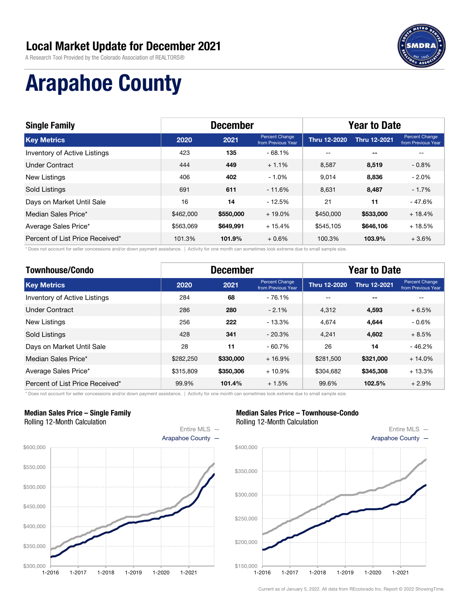A Research Tool Provided by the Colorado Association of REALTORS®



# Arapahoe County

| <b>Single Family</b>            |           | <b>December</b> |                                      | <b>Year to Date</b> |                          |                                             |  |
|---------------------------------|-----------|-----------------|--------------------------------------|---------------------|--------------------------|---------------------------------------------|--|
| <b>Key Metrics</b>              | 2020      | 2021            | Percent Change<br>from Previous Year | <b>Thru 12-2020</b> | <b>Thru 12-2021</b>      | <b>Percent Change</b><br>from Previous Year |  |
| Inventory of Active Listings    | 423       | 135             | $-68.1%$                             | $- -$               | $\overline{\phantom{a}}$ |                                             |  |
| <b>Under Contract</b>           | 444       | 449             | $+1.1%$                              | 8.587               | 8,519                    | $-0.8%$                                     |  |
| New Listings                    | 406       | 402             | $-1.0%$                              | 9.014               | 8.836                    | $-2.0%$                                     |  |
| <b>Sold Listings</b>            | 691       | 611             | $-11.6%$                             | 8.631               | 8,487                    | $-1.7%$                                     |  |
| Days on Market Until Sale       | 16        | 14              | $-12.5%$                             | 21                  | 11                       | $-47.6%$                                    |  |
| Median Sales Price*             | \$462,000 | \$550,000       | $+19.0%$                             | \$450,000           | \$533,000                | $+18.4%$                                    |  |
| Average Sales Price*            | \$563,069 | \$649,991       | $+15.4%$                             | \$545.105           | \$646,106                | $+18.5%$                                    |  |
| Percent of List Price Received* | 101.3%    | 101.9%          | $+0.6%$                              | 100.3%              | 103.9%                   | $+3.6%$                                     |  |

\* Does not account for seller concessions and/or down payment assistance. | Activity for one month can sometimes look extreme due to small sample size.

| <b>Townhouse/Condo</b>          |           | <b>December</b> |                                      | <b>Year to Date</b> |                     |                                      |  |
|---------------------------------|-----------|-----------------|--------------------------------------|---------------------|---------------------|--------------------------------------|--|
| <b>Key Metrics</b>              | 2020      | 2021            | Percent Change<br>from Previous Year | Thru 12-2020        | <b>Thru 12-2021</b> | Percent Change<br>from Previous Year |  |
| Inventory of Active Listings    | 284       | 68              | $-76.1%$                             | --                  | $- -$               | --                                   |  |
| Under Contract                  | 286       | 280             | $-2.1%$                              | 4.312               | 4.593               | $+6.5%$                              |  |
| <b>New Listings</b>             | 256       | 222             | $-13.3%$                             | 4.674               | 4,644               | $-0.6\%$                             |  |
| <b>Sold Listings</b>            | 428       | 341             | $-20.3%$                             | 4.241               | 4,602               | $+8.5%$                              |  |
| Days on Market Until Sale       | 28        | 11              | $-60.7%$                             | 26                  | 14                  | $-46.2%$                             |  |
| Median Sales Price*             | \$282.250 | \$330,000       | $+16.9%$                             | \$281,500           | \$321,000           | $+14.0%$                             |  |
| Average Sales Price*            | \$315,809 | \$350,306       | $+10.9%$                             | \$304.682           | \$345,308           | $+13.3%$                             |  |
| Percent of List Price Received* | 99.9%     | 101.4%          | $+1.5%$                              | 99.6%               | 102.5%              | $+2.9%$                              |  |

\* Does not account for seller concessions and/or down payment assistance. | Activity for one month can sometimes look extreme due to small sample size.

#### Median Sales Price – Single Family Rolling 12-Month Calculation



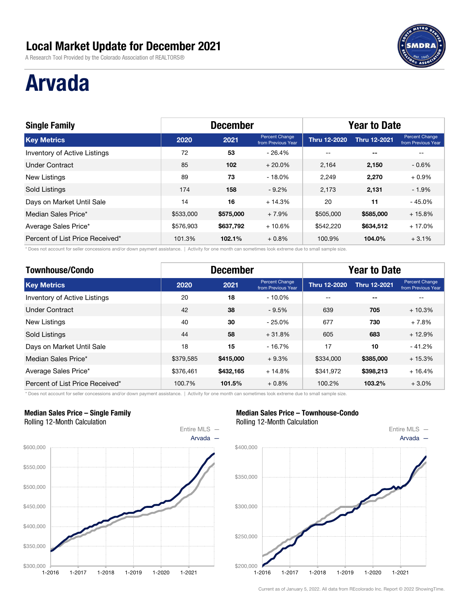A Research Tool Provided by the Colorado Association of REALTORS®

## Arvada

| <b>Single Family</b>                |           | <b>December</b> |                                      | <b>Year to Date</b> |                     |                                      |  |
|-------------------------------------|-----------|-----------------|--------------------------------------|---------------------|---------------------|--------------------------------------|--|
| <b>Key Metrics</b>                  | 2020      | 2021            | Percent Change<br>from Previous Year | <b>Thru 12-2020</b> | <b>Thru 12-2021</b> | Percent Change<br>from Previous Year |  |
| <b>Inventory of Active Listings</b> | 72        | 53              | - 26.4%                              | $- -$               | $- -$               |                                      |  |
| <b>Under Contract</b>               | 85        | 102             | $+20.0%$                             | 2.164               | 2,150               | $-0.6%$                              |  |
| New Listings                        | 89        | 73              | $-18.0%$                             | 2,249               | 2,270               | $+0.9\%$                             |  |
| <b>Sold Listings</b>                | 174       | 158             | $-9.2\%$                             | 2.173               | 2,131               | $-1.9%$                              |  |
| Days on Market Until Sale           | 14        | 16              | $+14.3%$                             | 20                  | 11                  | $-45.0%$                             |  |
| Median Sales Price*                 | \$533,000 | \$575,000       | $+7.9%$                              | \$505,000           | \$585,000           | $+15.8%$                             |  |
| Average Sales Price*                | \$576,903 | \$637,792       | $+10.6%$                             | \$542,220           | \$634,512           | $+17.0%$                             |  |
| Percent of List Price Received*     | 101.3%    | 102.1%          | $+0.8%$                              | 100.9%              | 104.0%              | $+3.1%$                              |  |

\* Does not account for seller concessions and/or down payment assistance. | Activity for one month can sometimes look extreme due to small sample size.

| <b>Townhouse/Condo</b>          |           | <b>December</b> |                                      | <b>Year to Date</b> |                     |                                      |  |
|---------------------------------|-----------|-----------------|--------------------------------------|---------------------|---------------------|--------------------------------------|--|
| <b>Key Metrics</b>              | 2020      | 2021            | Percent Change<br>from Previous Year | <b>Thru 12-2020</b> | <b>Thru 12-2021</b> | Percent Change<br>from Previous Year |  |
| Inventory of Active Listings    | 20        | 18              | $-10.0\%$                            | --                  | $- -$               | --                                   |  |
| Under Contract                  | 42        | 38              | $-9.5%$                              | 639                 | 705                 | $+10.3%$                             |  |
| <b>New Listings</b>             | 40        | 30              | - 25.0%                              | 677                 | 730                 | + 7.8%                               |  |
| <b>Sold Listings</b>            | 44        | 58              | $+31.8%$                             | 605                 | 683                 | $+12.9%$                             |  |
| Days on Market Until Sale       | 18        | 15              | $-16.7%$                             | 17                  | 10                  | $-41.2%$                             |  |
| Median Sales Price*             | \$379,585 | \$415,000       | $+9.3%$                              | \$334,000           | \$385,000           | $+15.3%$                             |  |
| Average Sales Price*            | \$376,461 | \$432,165       | $+14.8%$                             | \$341.972           | \$398,213           | $+16.4%$                             |  |
| Percent of List Price Received* | 100.7%    | 101.5%          | $+0.8%$                              | 100.2%              | 103.2%              | $+3.0%$                              |  |

\* Does not account for seller concessions and/or down payment assistance. | Activity for one month can sometimes look extreme due to small sample size.

#### Median Sales Price – Single Family Rolling 12-Month Calculation



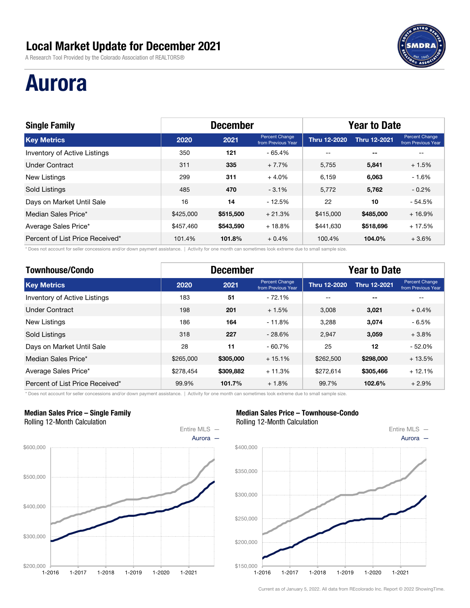A Research Tool Provided by the Colorado Association of REALTORS®

## Aurora

| <b>Single Family</b>            |           | <b>December</b> |                                      | <b>Year to Date</b> |                     |                                             |  |
|---------------------------------|-----------|-----------------|--------------------------------------|---------------------|---------------------|---------------------------------------------|--|
| <b>Key Metrics</b>              | 2020      | 2021            | Percent Change<br>from Previous Year | <b>Thru 12-2020</b> | <b>Thru 12-2021</b> | <b>Percent Change</b><br>from Previous Year |  |
| Inventory of Active Listings    | 350       | 121             | $-65.4%$                             | $-$                 | $- -$               |                                             |  |
| <b>Under Contract</b>           | 311       | 335             | $+7.7%$                              | 5,755               | 5,841               | $+1.5%$                                     |  |
| New Listings                    | 299       | 311             | $+4.0%$                              | 6.159               | 6.063               | $-1.6%$                                     |  |
| Sold Listings                   | 485       | 470             | $-3.1%$                              | 5.772               | 5,762               | $-0.2\%$                                    |  |
| Days on Market Until Sale       | 16        | 14              | $-12.5%$                             | 22                  | 10                  | $-54.5%$                                    |  |
| Median Sales Price*             | \$425,000 | \$515,500       | $+21.3%$                             | \$415,000           | \$485,000           | $+16.9%$                                    |  |
| Average Sales Price*            | \$457,460 | \$543,590       | $+18.8%$                             | \$441.630           | \$518,696           | $+17.5%$                                    |  |
| Percent of List Price Received* | 101.4%    | 101.8%          | $+0.4%$                              | 100.4%              | 104.0%              | $+3.6\%$                                    |  |

\* Does not account for seller concessions and/or down payment assistance. | Activity for one month can sometimes look extreme due to small sample size.

| <b>Townhouse/Condo</b>          |           | <b>December</b> |                                      | <b>Year to Date</b> |                     |                                      |  |
|---------------------------------|-----------|-----------------|--------------------------------------|---------------------|---------------------|--------------------------------------|--|
| <b>Key Metrics</b>              | 2020      | 2021            | Percent Change<br>from Previous Year | Thru 12-2020        | <b>Thru 12-2021</b> | Percent Change<br>from Previous Year |  |
| Inventory of Active Listings    | 183       | 51              | $-72.1%$                             | --                  | $- -$               | --                                   |  |
| Under Contract                  | 198       | 201             | $+1.5%$                              | 3.008               | 3.021               | $+0.4%$                              |  |
| <b>New Listings</b>             | 186       | 164             | $-11.8%$                             | 3.288               | 3,074               | - 6.5%                               |  |
| <b>Sold Listings</b>            | 318       | 227             | $-28.6%$                             | 2.947               | 3,059               | $+3.8%$                              |  |
| Days on Market Until Sale       | 28        | 11              | $-60.7%$                             | 25                  | 12                  | $-52.0%$                             |  |
| Median Sales Price*             | \$265,000 | \$305,000       | $+15.1%$                             | \$262,500           | \$298,000           | $+13.5%$                             |  |
| Average Sales Price*            | \$278,454 | \$309,882       | $+11.3%$                             | \$272.614           | \$305,466           | $+12.1%$                             |  |
| Percent of List Price Received* | 99.9%     | 101.7%          | $+1.8%$                              | 99.7%               | 102.6%              | $+2.9%$                              |  |

\* Does not account for seller concessions and/or down payment assistance. | Activity for one month can sometimes look extreme due to small sample size.

#### Median Sales Price – Single Family Rolling 12-Month Calculation



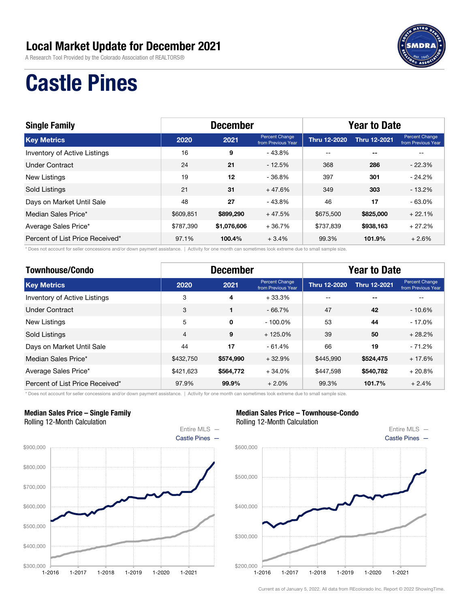A Research Tool Provided by the Colorado Association of REALTORS®



## Castle Pines

| <b>Single Family</b>            |           | <b>December</b> |                                      | <b>Year to Date</b> |                          |                                      |  |  |
|---------------------------------|-----------|-----------------|--------------------------------------|---------------------|--------------------------|--------------------------------------|--|--|
| <b>Key Metrics</b>              | 2020      | 2021            | Percent Change<br>from Previous Year | <b>Thru 12-2020</b> | <b>Thru 12-2021</b>      | Percent Change<br>from Previous Year |  |  |
| Inventory of Active Listings    | 16        | 9               | $-43.8%$                             | $- -$               | $\overline{\phantom{a}}$ |                                      |  |  |
| Under Contract                  | 24        | 21              | $-12.5%$                             | 368                 | 286                      | $-22.3%$                             |  |  |
| <b>New Listings</b>             | 19        | 12              | - 36.8%                              | 397                 | 301                      | $-24.2\%$                            |  |  |
| Sold Listings                   | 21        | 31              | $+47.6%$                             | 349                 | 303                      | $-13.2%$                             |  |  |
| Days on Market Until Sale       | 48        | 27              | $-43.8%$                             | 46                  | 17                       | $-63.0%$                             |  |  |
| Median Sales Price*             | \$609,851 | \$899,290       | $+47.5%$                             | \$675,500           | \$825,000                | $+22.1%$                             |  |  |
| Average Sales Price*            | \$787,390 | \$1,076,606     | $+36.7%$                             | \$737,839           | \$938,163                | $+27.2%$                             |  |  |
| Percent of List Price Received* | 97.1%     | 100.4%          | $+3.4%$                              | 99.3%               | 101.9%                   | $+2.6%$                              |  |  |

\* Does not account for seller concessions and/or down payment assistance. | Activity for one month can sometimes look extreme due to small sample size.

| <b>Townhouse/Condo</b>          |                | <b>December</b> |                                      | <b>Year to Date</b> |                     |                                      |  |
|---------------------------------|----------------|-----------------|--------------------------------------|---------------------|---------------------|--------------------------------------|--|
| <b>Key Metrics</b>              | 2020           | 2021            | Percent Change<br>from Previous Year | <b>Thru 12-2020</b> | <b>Thru 12-2021</b> | Percent Change<br>from Previous Year |  |
| Inventory of Active Listings    | 3              | 4               | $+33.3%$                             | --                  | $- -$               |                                      |  |
| <b>Under Contract</b>           | 3              |                 | $-66.7%$                             | 47                  | 42                  | $-10.6%$                             |  |
| <b>New Listings</b>             | 5              | $\mathbf 0$     | $-100.0\%$                           | 53                  | 44                  | - 17.0%                              |  |
| <b>Sold Listings</b>            | $\overline{4}$ | 9               | $+125.0%$                            | 39                  | 50                  | $+28.2%$                             |  |
| Days on Market Until Sale       | 44             | 17              | $-61.4%$                             | 66                  | 19                  | $-71.2%$                             |  |
| Median Sales Price*             | \$432,750      | \$574,990       | $+32.9%$                             | \$445,990           | \$524,475           | $+17.6%$                             |  |
| Average Sales Price*            | \$421.623      | \$564,772       | $+34.0%$                             | \$447.598           | \$540,782           | $+20.8%$                             |  |
| Percent of List Price Received* | 97.9%          | 99.9%           | $+2.0%$                              | 99.3%               | 101.7%              | $+2.4%$                              |  |

\* Does not account for seller concessions and/or down payment assistance. | Activity for one month can sometimes look extreme due to small sample size.

#### Median Sales Price – Single Family Rolling 12-Month Calculation



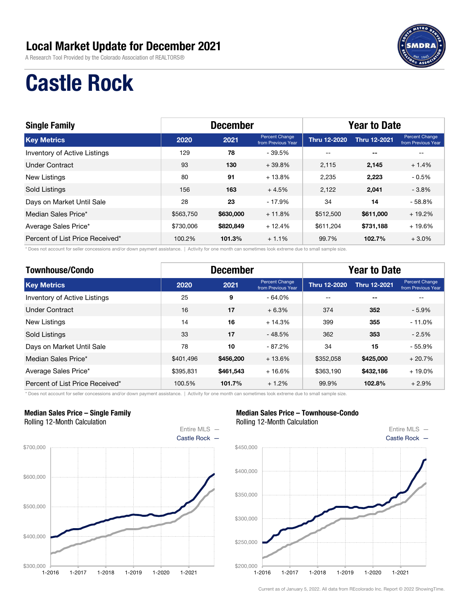A Research Tool Provided by the Colorado Association of REALTORS®



## Castle Rock

| <b>Single Family</b>                |           | <b>December</b> |                                      |                     | <b>Year to Date</b> |                                             |  |
|-------------------------------------|-----------|-----------------|--------------------------------------|---------------------|---------------------|---------------------------------------------|--|
| <b>Key Metrics</b>                  | 2020      | 2021            | Percent Change<br>from Previous Year | <b>Thru 12-2020</b> | <b>Thru 12-2021</b> | <b>Percent Change</b><br>from Previous Year |  |
| <b>Inventory of Active Listings</b> | 129       | 78              | - 39.5%                              | $- -$               | $- -$               |                                             |  |
| <b>Under Contract</b>               | 93        | 130             | $+39.8%$                             | 2.115               | 2,145               | $+1.4%$                                     |  |
| New Listings                        | 80        | 91              | $+13.8%$                             | 2,235               | 2,223               | $-0.5%$                                     |  |
| Sold Listings                       | 156       | 163             | $+4.5%$                              | 2,122               | 2,041               | $-3.8%$                                     |  |
| Days on Market Until Sale           | 28        | 23              | $-17.9%$                             | 34                  | 14                  | $-58.8%$                                    |  |
| Median Sales Price*                 | \$563,750 | \$630,000       | $+11.8%$                             | \$512,500           | \$611,000           | $+19.2%$                                    |  |
| Average Sales Price*                | \$730,006 | \$820,849       | $+12.4%$                             | \$611.204           | \$731,188           | $+19.6%$                                    |  |
| Percent of List Price Received*     | 100.2%    | 101.3%          | $+1.1%$                              | 99.7%               | 102.7%              | $+3.0%$                                     |  |

\* Does not account for seller concessions and/or down payment assistance. | Activity for one month can sometimes look extreme due to small sample size.

| <b>Townhouse/Condo</b>          | <b>December</b> |           |                                      | <b>Year to Date</b> |                     |                                      |
|---------------------------------|-----------------|-----------|--------------------------------------|---------------------|---------------------|--------------------------------------|
| <b>Key Metrics</b>              | 2020            | 2021      | Percent Change<br>from Previous Year | <b>Thru 12-2020</b> | <b>Thru 12-2021</b> | Percent Change<br>from Previous Year |
| Inventory of Active Listings    | 25              | 9         | $-64.0%$                             | --                  | --                  | --                                   |
| <b>Under Contract</b>           | 16              | 17        | $+6.3%$                              | 374                 | 352                 | $-5.9%$                              |
| <b>New Listings</b>             | 14              | 16        | $+14.3%$                             | 399                 | 355                 | - 11.0%                              |
| <b>Sold Listings</b>            | 33              | 17        | $-48.5%$                             | 362                 | 353                 | $-2.5%$                              |
| Days on Market Until Sale       | 78              | 10        | $-87.2%$                             | 34                  | 15                  | $-55.9%$                             |
| Median Sales Price*             | \$401.496       | \$456,200 | $+13.6%$                             | \$352.058           | \$425,000           | $+20.7%$                             |
| Average Sales Price*            | \$395,831       | \$461,543 | $+16.6%$                             | \$363,190           | \$432,186           | $+19.0\%$                            |
| Percent of List Price Received* | 100.5%          | 101.7%    | $+1.2%$                              | 99.9%               | 102.8%              | $+2.9%$                              |

\* Does not account for seller concessions and/or down payment assistance. | Activity for one month can sometimes look extreme due to small sample size.

#### Median Sales Price – Single Family Rolling 12-Month Calculation



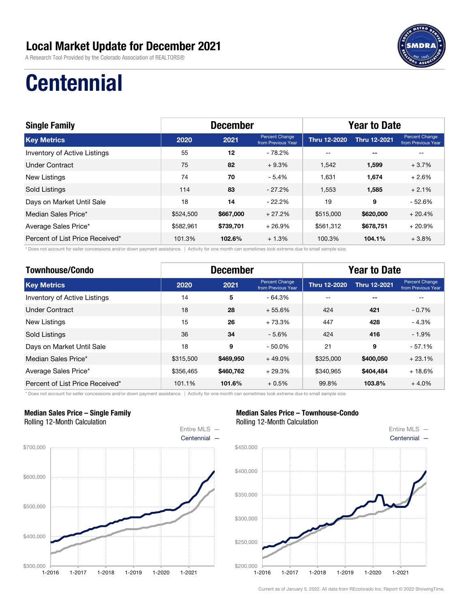A Research Tool Provided by the Colorado Association of REALTORS®



## **Centennial**

| <b>Single Family</b>            | <b>December</b> |           |                                      | <b>Year to Date</b> |                          |                                      |
|---------------------------------|-----------------|-----------|--------------------------------------|---------------------|--------------------------|--------------------------------------|
| <b>Key Metrics</b>              | 2020            | 2021      | Percent Change<br>from Previous Year | Thru 12-2020        | <b>Thru 12-2021</b>      | Percent Change<br>from Previous Year |
| Inventory of Active Listings    | 55              | 12        | $-78.2%$                             | $\qquad \qquad -$   | $\overline{\phantom{a}}$ | --                                   |
| Under Contract                  | 75              | 82        | $+9.3%$                              | 1,542               | 1,599                    | $+3.7%$                              |
| New Listings                    | 74              | 70        | $-5.4%$                              | 1.631               | 1,674                    | $+2.6%$                              |
| Sold Listings                   | 114             | 83        | $-27.2\%$                            | 1.553               | 1,585                    | $+2.1%$                              |
| Days on Market Until Sale       | 18              | 14        | $-22.2\%$                            | 19                  | 9                        | $-52.6%$                             |
| Median Sales Price*             | \$524,500       | \$667,000 | $+27.2%$                             | \$515,000           | \$620,000                | $+20.4%$                             |
| Average Sales Price*            | \$582,961       | \$739,701 | $+26.9%$                             | \$561,312           | \$678,751                | $+20.9%$                             |
| Percent of List Price Received* | 101.3%          | 102.6%    | $+1.3%$                              | 100.3%              | 104.1%                   | $+3.8%$                              |

\* Does not account for seller concessions and/or down payment assistance. | Activity for one month can sometimes look extreme due to small sample size.

| <b>Townhouse/Condo</b>          | <b>December</b> |           |                                      | <b>Year to Date</b> |                     |                                      |  |
|---------------------------------|-----------------|-----------|--------------------------------------|---------------------|---------------------|--------------------------------------|--|
| <b>Key Metrics</b>              | 2020            | 2021      | Percent Change<br>from Previous Year | <b>Thru 12-2020</b> | <b>Thru 12-2021</b> | Percent Change<br>from Previous Year |  |
| Inventory of Active Listings    | 14              | 5         | $-64.3%$                             | --                  | $- -$               | --                                   |  |
| Under Contract                  | 18              | 28        | $+55.6%$                             | 424                 | 421                 | $-0.7%$                              |  |
| <b>New Listings</b>             | 15              | 26        | $+73.3%$                             | 447                 | 428                 | $-4.3%$                              |  |
| <b>Sold Listings</b>            | 36              | 34        | $-5.6%$                              | 424                 | 416                 | $-1.9%$                              |  |
| Days on Market Until Sale       | 18              | 9         | $-50.0%$                             | 21                  | 9                   | $-57.1%$                             |  |
| Median Sales Price*             | \$315,500       | \$469,950 | $+49.0%$                             | \$325,000           | \$400,050           | $+23.1%$                             |  |
| Average Sales Price*            | \$356,465       | \$460,762 | $+29.3%$                             | \$340.965           | \$404,484           | $+18.6%$                             |  |
| Percent of List Price Received* | 101.1%          | 101.6%    | $+0.5%$                              | 99.8%               | 103.8%              | $+4.0%$                              |  |

\* Does not account for seller concessions and/or down payment assistance. | Activity for one month can sometimes look extreme due to small sample size.

#### Median Sales Price – Single Family Rolling 12-Month Calculation



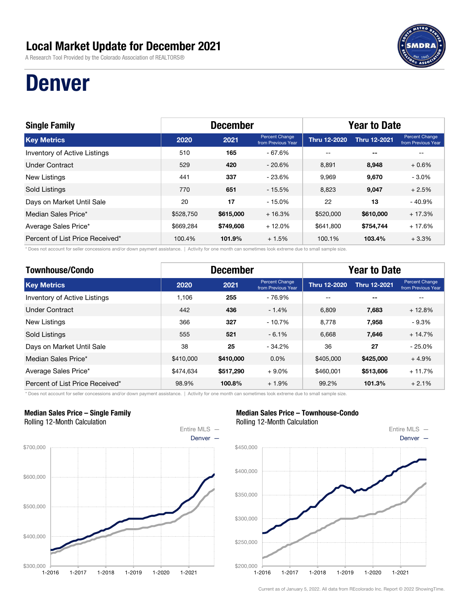A Research Tool Provided by the Colorado Association of REALTORS®

## Denver

| <b>Single Family</b>                | <b>December</b> |           |                                      | <b>Year to Date</b> |                     |                                             |
|-------------------------------------|-----------------|-----------|--------------------------------------|---------------------|---------------------|---------------------------------------------|
| <b>Key Metrics</b>                  | 2020            | 2021      | Percent Change<br>from Previous Year | <b>Thru 12-2020</b> | <b>Thru 12-2021</b> | <b>Percent Change</b><br>from Previous Year |
| <b>Inventory of Active Listings</b> | 510             | 165       | $-67.6%$                             | $- -$               | $- -$               |                                             |
| <b>Under Contract</b>               | 529             | 420       | $-20.6\%$                            | 8.891               | 8,948               | $+0.6%$                                     |
| New Listings                        | 441             | 337       | $-23.6%$                             | 9.969               | 9,670               | $-3.0\%$                                    |
| Sold Listings                       | 770             | 651       | $-15.5%$                             | 8,823               | 9,047               | $+2.5%$                                     |
| Days on Market Until Sale           | 20              | 17        | $-15.0%$                             | 22                  | 13                  | $-40.9%$                                    |
| Median Sales Price*                 | \$528,750       | \$615,000 | $+16.3%$                             | \$520,000           | \$610,000           | $+17.3%$                                    |
| Average Sales Price*                | \$669,284       | \$749,608 | $+12.0%$                             | \$641,800           | \$754,744           | $+17.6%$                                    |
| Percent of List Price Received*     | 100.4%          | 101.9%    | $+1.5%$                              | 100.1%              | 103.4%              | $+3.3%$                                     |

\* Does not account for seller concessions and/or down payment assistance. | Activity for one month can sometimes look extreme due to small sample size.

| <b>Townhouse/Condo</b>          | <b>December</b> |           |                                      | <b>Year to Date</b> |                     |                                      |
|---------------------------------|-----------------|-----------|--------------------------------------|---------------------|---------------------|--------------------------------------|
| <b>Key Metrics</b>              | 2020            | 2021      | Percent Change<br>from Previous Year | <b>Thru 12-2020</b> | <b>Thru 12-2021</b> | Percent Change<br>from Previous Year |
| Inventory of Active Listings    | 1.106           | 255       | - 76.9%                              | --                  | $- -$               | --                                   |
| <b>Under Contract</b>           | 442             | 436       | $-1.4%$                              | 6.809               | 7,683               | $+12.8%$                             |
| New Listings                    | 366             | 327       | $-10.7%$                             | 8.778               | 7,958               | $-9.3%$                              |
| <b>Sold Listings</b>            | 555             | 521       | $-6.1%$                              | 6.668               | 7,646               | $+14.7%$                             |
| Days on Market Until Sale       | 38              | 25        | $-34.2%$                             | 36                  | 27                  | $-25.0%$                             |
| Median Sales Price*             | \$410,000       | \$410,000 | $0.0\%$                              | \$405,000           | \$425,000           | $+4.9%$                              |
| Average Sales Price*            | \$474,634       | \$517,290 | $+9.0%$                              | \$460,001           | \$513,606           | $+11.7%$                             |
| Percent of List Price Received* | 98.9%           | 100.8%    | $+1.9%$                              | 99.2%               | 101.3%              | $+2.1%$                              |

\* Does not account for seller concessions and/or down payment assistance. | Activity for one month can sometimes look extreme due to small sample size.

#### Median Sales Price – Single Family Rolling 12-Month Calculation



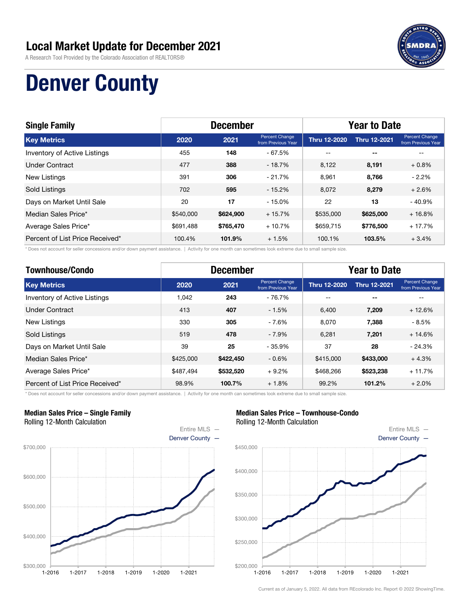A Research Tool Provided by the Colorado Association of REALTORS®



## Denver County

| <b>Single Family</b>            | <b>December</b> |           |                                      | <b>Year to Date</b> |                     |                                             |
|---------------------------------|-----------------|-----------|--------------------------------------|---------------------|---------------------|---------------------------------------------|
| <b>Key Metrics</b>              | 2020            | 2021      | Percent Change<br>from Previous Year | <b>Thru 12-2020</b> | <b>Thru 12-2021</b> | <b>Percent Change</b><br>from Previous Year |
| Inventory of Active Listings    | 455             | 148       | - 67.5%                              | $- -$               | $- -$               |                                             |
| <b>Under Contract</b>           | 477             | 388       | $-18.7%$                             | 8,122               | 8,191               | $+0.8%$                                     |
| New Listings                    | 391             | 306       | $-21.7%$                             | 8.961               | 8.766               | $-2.2%$                                     |
| Sold Listings                   | 702             | 595       | $-15.2%$                             | 8,072               | 8,279               | $+2.6%$                                     |
| Days on Market Until Sale       | 20              | 17        | $-15.0%$                             | 22                  | 13                  | $-40.9%$                                    |
| Median Sales Price*             | \$540,000       | \$624,900 | $+15.7%$                             | \$535,000           | \$625,000           | $+16.8%$                                    |
| Average Sales Price*            | \$691.488       | \$765,470 | $+10.7%$                             | \$659.715           | \$776,500           | $+17.7%$                                    |
| Percent of List Price Received* | 100.4%          | 101.9%    | $+1.5%$                              | 100.1%              | 103.5%              | $+3.4%$                                     |

\* Does not account for seller concessions and/or down payment assistance. | Activity for one month can sometimes look extreme due to small sample size.

| <b>Townhouse/Condo</b>          | <b>December</b> |           |                                             | <b>Year to Date</b> |                     |                                      |  |
|---------------------------------|-----------------|-----------|---------------------------------------------|---------------------|---------------------|--------------------------------------|--|
| <b>Key Metrics</b>              | 2020            | 2021      | <b>Percent Change</b><br>from Previous Year | <b>Thru 12-2020</b> | <b>Thru 12-2021</b> | Percent Change<br>from Previous Year |  |
| Inventory of Active Listings    | 1.042           | 243       | - 76.7%                                     | --                  | $- -$               | --                                   |  |
| <b>Under Contract</b>           | 413             | 407       | $-1.5%$                                     | 6.400               | 7.209               | $+12.6%$                             |  |
| New Listings                    | 330             | 305       | $-7.6%$                                     | 8,070               | 7,388               | - 8.5%                               |  |
| <b>Sold Listings</b>            | 519             | 478       | $-7.9%$                                     | 6.281               | 7,201               | $+14.6%$                             |  |
| Days on Market Until Sale       | 39              | 25        | $-35.9%$                                    | 37                  | 28                  | $-24.3%$                             |  |
| Median Sales Price*             | \$425,000       | \$422,450 | $-0.6%$                                     | \$415,000           | \$433,000           | $+4.3%$                              |  |
| Average Sales Price*            | \$487.494       | \$532,520 | $+9.2%$                                     | \$468.266           | \$523,238           | $+11.7%$                             |  |
| Percent of List Price Received* | 98.9%           | 100.7%    | $+1.8%$                                     | 99.2%               | 101.2%              | $+2.0%$                              |  |

\* Does not account for seller concessions and/or down payment assistance. | Activity for one month can sometimes look extreme due to small sample size.

#### Median Sales Price – Single Family Rolling 12-Month Calculation



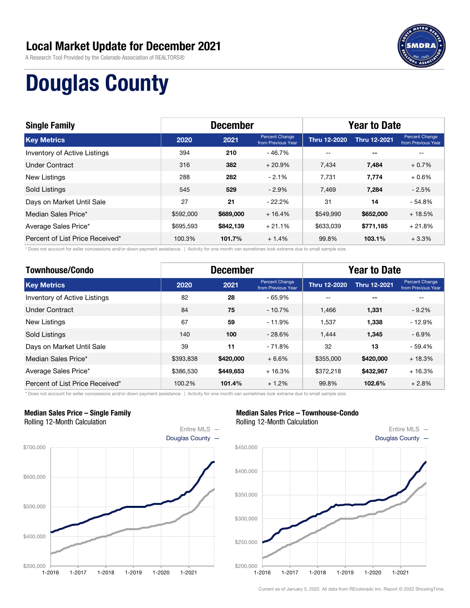A Research Tool Provided by the Colorado Association of REALTORS®



## Douglas County

| <b>Single Family</b>                | <b>December</b> |           |                                      | <b>Year to Date</b> |                     |                                             |
|-------------------------------------|-----------------|-----------|--------------------------------------|---------------------|---------------------|---------------------------------------------|
| <b>Key Metrics</b>                  | 2020            | 2021      | Percent Change<br>from Previous Year | <b>Thru 12-2020</b> | <b>Thru 12-2021</b> | <b>Percent Change</b><br>from Previous Year |
| <b>Inventory of Active Listings</b> | 394             | 210       | - 46.7%                              | $- -$               | $- -$               |                                             |
| <b>Under Contract</b>               | 316             | 382       | $+20.9%$                             | 7.434               | 7,484               | $+0.7%$                                     |
| New Listings                        | 288             | 282       | $-2.1%$                              | 7.731               | 7.774               | $+0.6\%$                                    |
| Sold Listings                       | 545             | 529       | $-2.9%$                              | 7,469               | 7,284               | $-2.5%$                                     |
| Days on Market Until Sale           | 27              | 21        | $-22.2%$                             | 31                  | 14                  | $-54.8%$                                    |
| Median Sales Price*                 | \$592,000       | \$689,000 | $+16.4%$                             | \$549,990           | \$652,000           | $+18.5%$                                    |
| Average Sales Price*                | \$695,593       | \$842,139 | $+21.1%$                             | \$633,039           | \$771,185           | $+21.8%$                                    |
| Percent of List Price Received*     | 100.3%          | 101.7%    | $+1.4%$                              | 99.8%               | 103.1%              | $+3.3%$                                     |

\* Does not account for seller concessions and/or down payment assistance. | Activity for one month can sometimes look extreme due to small sample size.

| <b>Townhouse/Condo</b>          | <b>December</b> |           |                                      | <b>Year to Date</b> |                     |                                      |
|---------------------------------|-----------------|-----------|--------------------------------------|---------------------|---------------------|--------------------------------------|
| <b>Key Metrics</b>              | 2020            | 2021      | Percent Change<br>from Previous Year | <b>Thru 12-2020</b> | <b>Thru 12-2021</b> | Percent Change<br>from Previous Year |
| Inventory of Active Listings    | 82              | 28        | $-65.9%$                             | --                  | --                  | --                                   |
| <b>Under Contract</b>           | 84              | 75        | $-10.7%$                             | 1.466               | 1,331               | $-9.2%$                              |
| <b>New Listings</b>             | 67              | 59        | $-11.9%$                             | 1.537               | 1,338               | $-12.9%$                             |
| <b>Sold Listings</b>            | 140             | 100       | $-28.6%$                             | 1.444               | 1,345               | $-6.9\%$                             |
| Days on Market Until Sale       | 39              | 11        | $-71.8%$                             | 32                  | 13                  | - 59.4%                              |
| Median Sales Price*             | \$393.838       | \$420,000 | $+6.6%$                              | \$355,000           | \$420,000           | $+18.3%$                             |
| Average Sales Price*            | \$386,530       | \$449,653 | $+16.3%$                             | \$372.218           | \$432,967           | $+16.3%$                             |
| Percent of List Price Received* | 100.2%          | 101.4%    | $+1.2%$                              | 99.8%               | 102.6%              | $+2.8%$                              |

\* Does not account for seller concessions and/or down payment assistance. | Activity for one month can sometimes look extreme due to small sample size.

#### Median Sales Price – Single Family Rolling 12-Month Calculation



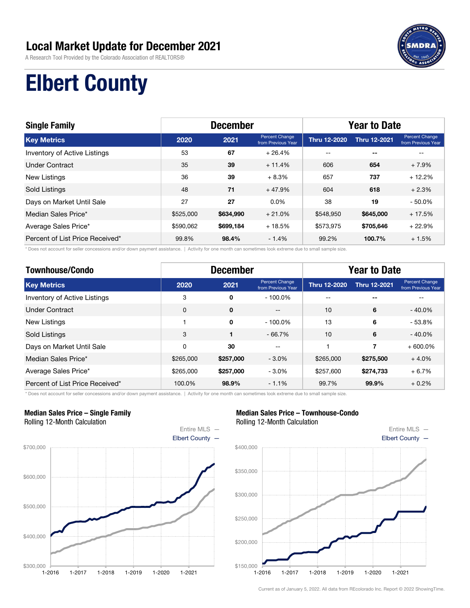A Research Tool Provided by the Colorado Association of REALTORS®



## Elbert County

| <b>Single Family</b>            | <b>December</b> |           |                                      | <b>Year to Date</b> |                          |                                      |
|---------------------------------|-----------------|-----------|--------------------------------------|---------------------|--------------------------|--------------------------------------|
| <b>Key Metrics</b>              | 2020            | 2021      | Percent Change<br>from Previous Year | <b>Thru 12-2020</b> | <b>Thru 12-2021</b>      | Percent Change<br>from Previous Year |
| Inventory of Active Listings    | 53              | 67        | $+26.4%$                             | $- -$               | $\overline{\phantom{a}}$ |                                      |
| Under Contract                  | 35              | 39        | $+11.4%$                             | 606                 | 654                      | $+7.9%$                              |
| <b>New Listings</b>             | 36              | 39        | $+8.3%$                              | 657                 | 737                      | $+12.2%$                             |
| Sold Listings                   | 48              | 71        | $+47.9%$                             | 604                 | 618                      | $+2.3%$                              |
| Days on Market Until Sale       | 27              | 27        | $0.0\%$                              | 38                  | 19                       | $-50.0%$                             |
| Median Sales Price*             | \$525,000       | \$634,990 | $+21.0%$                             | \$548,950           | \$645,000                | $+17.5%$                             |
| Average Sales Price*            | \$590,062       | \$699,184 | $+18.5%$                             | \$573,975           | \$705,646                | $+22.9%$                             |
| Percent of List Price Received* | 99.8%           | 98.4%     | $-1.4%$                              | 99.2%               | 100.7%                   | $+1.5%$                              |

\* Does not account for seller concessions and/or down payment assistance. | Activity for one month can sometimes look extreme due to small sample size.

| <b>Townhouse/Condo</b>          | <b>December</b> |             |                                      | <b>Year to Date</b> |                     |                                      |
|---------------------------------|-----------------|-------------|--------------------------------------|---------------------|---------------------|--------------------------------------|
| <b>Key Metrics</b>              | 2020            | 2021        | Percent Change<br>from Previous Year | <b>Thru 12-2020</b> | <b>Thru 12-2021</b> | Percent Change<br>from Previous Year |
| Inventory of Active Listings    | 3               | 0           | $-100.0\%$                           | --                  | --                  | --                                   |
| <b>Under Contract</b>           | $\mathbf 0$     | $\mathbf 0$ | $-$                                  | 10                  | 6                   | $-40.0\%$                            |
| <b>New Listings</b>             |                 | 0           | $-100.0\%$                           | 13                  | 6                   | $-53.8%$                             |
| <b>Sold Listings</b>            | 3               | 1           | $-66.7%$                             | 10                  | 6                   | $-40.0\%$                            |
| Days on Market Until Sale       | $\Omega$        | 30          | --                                   |                     | 7                   | $+600.0\%$                           |
| Median Sales Price*             | \$265,000       | \$257,000   | $-3.0\%$                             | \$265,000           | \$275,500           | $+4.0%$                              |
| Average Sales Price*            | \$265,000       | \$257,000   | $-3.0%$                              | \$257,600           | \$274,733           | $+6.7%$                              |
| Percent of List Price Received* | 100.0%          | 98.9%       | $-1.1%$                              | 99.7%               | 99.9%               | $+0.2%$                              |

\* Does not account for seller concessions and/or down payment assistance. | Activity for one month can sometimes look extreme due to small sample size.

#### Median Sales Price – Single Family Rolling 12-Month Calculation



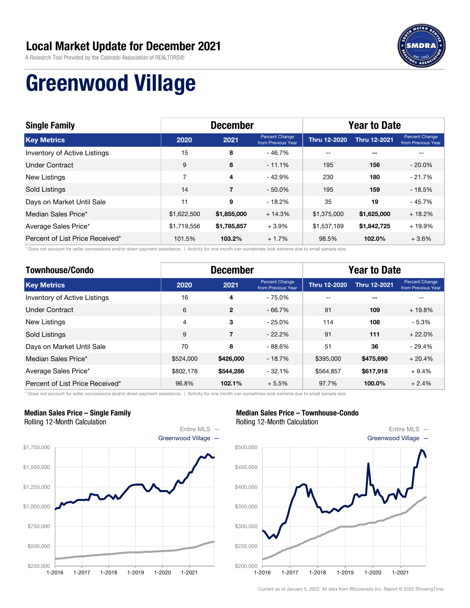A Research Tool Provided by the Colorado Association of REALTORS®



## Greenwood Village

| <b>Single Family</b>            | <b>December</b> |                |                                      | <b>Year to Date</b> |                          |                                      |
|---------------------------------|-----------------|----------------|--------------------------------------|---------------------|--------------------------|--------------------------------------|
| <b>Key Metrics</b>              | 2020            | 2021           | Percent Change<br>from Previous Year | Thru 12-2020        | <b>Thru 12-2021</b>      | Percent Change<br>from Previous Year |
| Inventory of Active Listings    | 15              | 8              | - 46.7%                              | $\qquad \qquad -$   | $\overline{\phantom{a}}$ |                                      |
| Under Contract                  | 9               | 8              | $-11.1%$                             | 195                 | 156                      | $-20.0\%$                            |
| New Listings                    | 7               | 4              | - 42.9%                              | 230                 | 180                      | $-21.7%$                             |
| Sold Listings                   | 14              | $\overline{7}$ | $-50.0\%$                            | 195                 | 159                      | $-18.5%$                             |
| Days on Market Until Sale       | 11              | 9              | $-18.2%$                             | 35                  | 19                       | $-45.7%$                             |
| Median Sales Price*             | \$1,622,500     | \$1,855,000    | $+14.3%$                             | \$1,375,000         | \$1,625,000              | $+18.2%$                             |
| Average Sales Price*            | \$1,719,556     | \$1,785,857    | $+3.9%$                              | \$1,537,169         | \$1,842,725              | $+19.9%$                             |
| Percent of List Price Received* | 101.5%          | 103.2%         | $+1.7%$                              | 98.5%               | 102.0%                   | $+3.6%$                              |

\* Does not account for seller concessions and/or down payment assistance. | Activity for one month can sometimes look extreme due to small sample size.

| <b>Townhouse/Condo</b>          | <b>December</b> |                |                                      | <b>Year to Date</b> |                     |                                      |  |
|---------------------------------|-----------------|----------------|--------------------------------------|---------------------|---------------------|--------------------------------------|--|
| <b>Key Metrics</b>              | 2020            | 2021           | Percent Change<br>from Previous Year | <b>Thru 12-2020</b> | <b>Thru 12-2021</b> | Percent Change<br>from Previous Year |  |
| Inventory of Active Listings    | 16              | 4              | $-75.0\%$                            | --                  | --                  | --                                   |  |
| <b>Under Contract</b>           | 6               | $\overline{2}$ | $-66.7%$                             | 91                  | 109                 | $+19.8%$                             |  |
| <b>New Listings</b>             | $\overline{4}$  | 3              | $-25.0%$                             | 114                 | 108                 | $-5.3%$                              |  |
| <b>Sold Listings</b>            | 9               | $\overline{7}$ | $-22.2%$                             | 91                  | 111                 | $+22.0%$                             |  |
| Days on Market Until Sale       | 70              | 8              | $-88.6%$                             | 51                  | 36                  | $-29.4%$                             |  |
| Median Sales Price*             | \$524,000       | \$426,000      | $-18.7%$                             | \$395,000           | \$475,690           | $+20.4%$                             |  |
| Average Sales Price*            | \$802.178       | \$544,286      | $-32.1%$                             | \$564.857           | \$617,918           | $+9.4%$                              |  |
| Percent of List Price Received* | 96.8%           | 102.1%         | $+5.5%$                              | 97.7%               | 100.0%              | $+2.4%$                              |  |

\* Does not account for seller concessions and/or down payment assistance. | Activity for one month can sometimes look extreme due to small sample size.

#### Median Sales Price – Single Family Rolling 12-Month Calculation



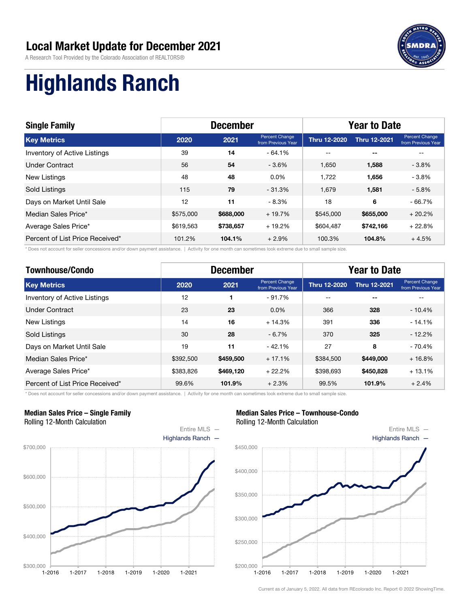A Research Tool Provided by the Colorado Association of REALTORS®



# Highlands Ranch

| <b>Single Family</b>            | <b>December</b> |           |                                      | <b>Year to Date</b> |                          |                                      |
|---------------------------------|-----------------|-----------|--------------------------------------|---------------------|--------------------------|--------------------------------------|
| <b>Key Metrics</b>              | 2020            | 2021      | Percent Change<br>from Previous Year | <b>Thru 12-2020</b> | <b>Thru 12-2021</b>      | Percent Change<br>from Previous Year |
| Inventory of Active Listings    | 39              | 14        | $-64.1%$                             | $- -$               | $\overline{\phantom{a}}$ | --                                   |
| Under Contract                  | 56              | 54        | $-3.6%$                              | 1.650               | 1,588                    | $-3.8%$                              |
| <b>New Listings</b>             | 48              | 48        | $0.0\%$                              | 1.722               | 1,656                    | $-3.8%$                              |
| <b>Sold Listings</b>            | 115             | 79        | $-31.3\%$                            | 1.679               | 1,581                    | $-5.8%$                              |
| Days on Market Until Sale       | 12              | 11        | $-8.3%$                              | 18                  | 6                        | $-66.7%$                             |
| Median Sales Price*             | \$575,000       | \$688,000 | $+19.7%$                             | \$545,000           | \$655,000                | $+20.2%$                             |
| Average Sales Price*            | \$619,563       | \$738,657 | $+19.2%$                             | \$604,487           | \$742,166                | $+22.8%$                             |
| Percent of List Price Received* | 101.2%          | 104.1%    | $+2.9%$                              | 100.3%              | 104.8%                   | $+4.5%$                              |

\* Does not account for seller concessions and/or down payment assistance. | Activity for one month can sometimes look extreme due to small sample size.

| <b>Townhouse/Condo</b>          | <b>December</b> |           |                                      | <b>Year to Date</b> |                     |                                      |  |
|---------------------------------|-----------------|-----------|--------------------------------------|---------------------|---------------------|--------------------------------------|--|
| <b>Key Metrics</b>              | 2020            | 2021      | Percent Change<br>from Previous Year | <b>Thru 12-2020</b> | <b>Thru 12-2021</b> | Percent Change<br>from Previous Year |  |
| Inventory of Active Listings    | 12              |           | $-91.7%$                             | --                  | $- -$               |                                      |  |
| Under Contract                  | 23              | 23        | $0.0\%$                              | 366                 | 328                 | $-10.4%$                             |  |
| <b>New Listings</b>             | 14              | 16        | $+14.3%$                             | 391                 | 336                 | $-14.1%$                             |  |
| <b>Sold Listings</b>            | 30              | 28        | $-6.7%$                              | 370                 | 325                 | $-12.2%$                             |  |
| Days on Market Until Sale       | 19              | 11        | $-42.1%$                             | 27                  | 8                   | - 70.4%                              |  |
| Median Sales Price*             | \$392,500       | \$459,500 | $+17.1%$                             | \$384,500           | \$449,000           | $+16.8%$                             |  |
| Average Sales Price*            | \$383,826       | \$469,120 | $+22.2%$                             | \$398,693           | \$450,828           | $+13.1%$                             |  |
| Percent of List Price Received* | 99.6%           | 101.9%    | $+2.3%$                              | 99.5%               | 101.9%              | $+2.4%$                              |  |

\* Does not account for seller concessions and/or down payment assistance. | Activity for one month can sometimes look extreme due to small sample size.

#### Median Sales Price – Single Family Rolling 12-Month Calculation



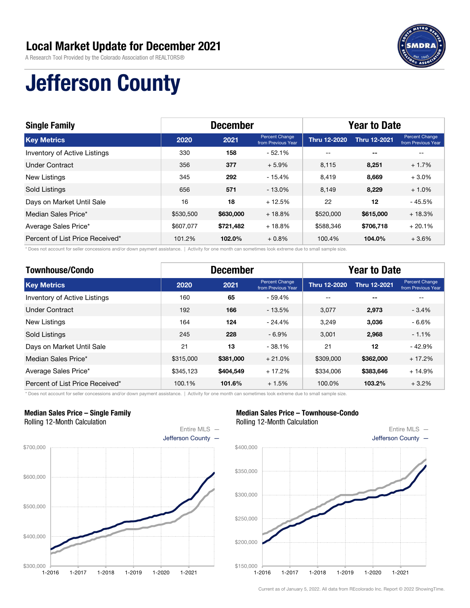A Research Tool Provided by the Colorado Association of REALTORS®



# Jefferson County

| <b>Single Family</b>            | <b>December</b> |           |                                      | <b>Year to Date</b> |                          |                                      |
|---------------------------------|-----------------|-----------|--------------------------------------|---------------------|--------------------------|--------------------------------------|
| <b>Key Metrics</b>              | 2020            | 2021      | Percent Change<br>from Previous Year | <b>Thru 12-2020</b> | <b>Thru 12-2021</b>      | Percent Change<br>from Previous Year |
| Inventory of Active Listings    | 330             | 158       | $-52.1%$                             | $- -$               | $\overline{\phantom{a}}$ |                                      |
| <b>Under Contract</b>           | 356             | 377       | $+5.9%$                              | 8,115               | 8,251                    | $+1.7%$                              |
| New Listings                    | 345             | 292       | $-15.4%$                             | 8,419               | 8,669                    | $+3.0%$                              |
| <b>Sold Listings</b>            | 656             | 571       | $-13.0\%$                            | 8.149               | 8,229                    | $+1.0%$                              |
| Days on Market Until Sale       | 16              | 18        | $+12.5%$                             | 22                  | 12                       | $-45.5%$                             |
| Median Sales Price*             | \$530,500       | \$630,000 | $+18.8%$                             | \$520,000           | \$615,000                | $+18.3%$                             |
| Average Sales Price*            | \$607,077       | \$721,482 | $+18.8%$                             | \$588.346           | \$706,718                | $+20.1%$                             |
| Percent of List Price Received* | 101.2%          | 102.0%    | $+0.8%$                              | 100.4%              | 104.0%                   | $+3.6%$                              |

\* Does not account for seller concessions and/or down payment assistance. | Activity for one month can sometimes look extreme due to small sample size.

| <b>Townhouse/Condo</b>          | <b>December</b> |           |                                      | <b>Year to Date</b> |                     |                                      |  |
|---------------------------------|-----------------|-----------|--------------------------------------|---------------------|---------------------|--------------------------------------|--|
| <b>Key Metrics</b>              | 2020            | 2021      | Percent Change<br>from Previous Year | <b>Thru 12-2020</b> | <b>Thru 12-2021</b> | Percent Change<br>from Previous Year |  |
| Inventory of Active Listings    | 160             | 65        | $-59.4%$                             | --                  | --                  | --                                   |  |
| <b>Under Contract</b>           | 192             | 166       | $-13.5%$                             | 3.077               | 2,973               | $-3.4%$                              |  |
| <b>New Listings</b>             | 164             | 124       | $-24.4%$                             | 3.249               | 3,036               | - 6.6%                               |  |
| <b>Sold Listings</b>            | 245             | 228       | $-6.9%$                              | 3.001               | 2,968               | $-1.1%$                              |  |
| Days on Market Until Sale       | 21              | 13        | $-38.1%$                             | 21                  | 12                  | $-42.9%$                             |  |
| Median Sales Price*             | \$315,000       | \$381,000 | $+21.0%$                             | \$309,000           | \$362,000           | $+17.2%$                             |  |
| Average Sales Price*            | \$345.123       | \$404,549 | $+17.2%$                             | \$334,006           | \$383,646           | $+14.9%$                             |  |
| Percent of List Price Received* | 100.1%          | 101.6%    | $+1.5%$                              | 100.0%              | 103.2%              | $+3.2\%$                             |  |

\* Does not account for seller concessions and/or down payment assistance. | Activity for one month can sometimes look extreme due to small sample size.

#### Median Sales Price – Single Family Rolling 12-Month Calculation



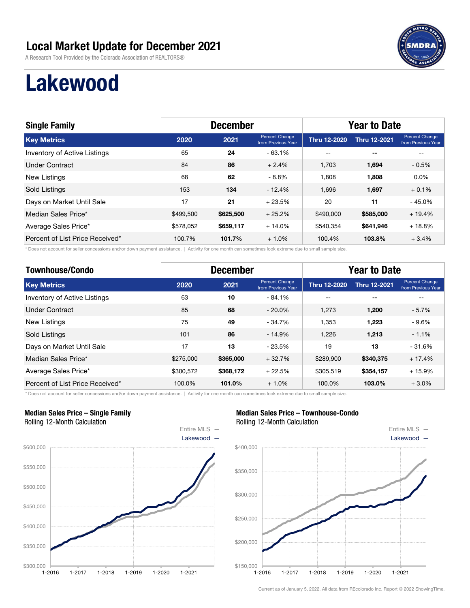A Research Tool Provided by the Colorado Association of REALTORS®



## Lakewood

| <b>Single Family</b>                | <b>December</b> |           |                                      | <b>Year to Date</b> |                     |                                      |
|-------------------------------------|-----------------|-----------|--------------------------------------|---------------------|---------------------|--------------------------------------|
| <b>Key Metrics</b>                  | 2020            | 2021      | Percent Change<br>from Previous Year | <b>Thru 12-2020</b> | <b>Thru 12-2021</b> | Percent Change<br>from Previous Year |
| <b>Inventory of Active Listings</b> | 65              | 24        | $-63.1%$                             | $- -$               | $- -$               |                                      |
| Under Contract                      | 84              | 86        | $+2.4%$                              | 1.703               | 1,694               | $-0.5%$                              |
| New Listings                        | 68              | 62        | $-8.8\%$                             | 1.808               | 1,808               | $0.0\%$                              |
| Sold Listings                       | 153             | 134       | $-12.4%$                             | 1.696               | 1,697               | $+0.1%$                              |
| Days on Market Until Sale           | 17              | 21        | $+23.5%$                             | 20                  | 11                  | $-45.0%$                             |
| Median Sales Price*                 | \$499,500       | \$625,500 | $+25.2%$                             | \$490,000           | \$585,000           | $+19.4%$                             |
| Average Sales Price*                | \$578,052       | \$659,117 | $+14.0%$                             | \$540,354           | \$641,946           | $+18.8%$                             |
| Percent of List Price Received*     | 100.7%          | 101.7%    | $+1.0%$                              | 100.4%              | 103.8%              | $+3.4%$                              |

\* Does not account for seller concessions and/or down payment assistance. | Activity for one month can sometimes look extreme due to small sample size.

| <b>Townhouse/Condo</b>          | <b>December</b> |           |                                      | <b>Year to Date</b> |                     |                                      |  |
|---------------------------------|-----------------|-----------|--------------------------------------|---------------------|---------------------|--------------------------------------|--|
| <b>Key Metrics</b>              | 2020            | 2021      | Percent Change<br>from Previous Year | <b>Thru 12-2020</b> | <b>Thru 12-2021</b> | Percent Change<br>from Previous Year |  |
| Inventory of Active Listings    | 63              | 10        | $-84.1%$                             | --                  | $-$                 | --                                   |  |
| <b>Under Contract</b>           | 85              | 68        | $-20.0\%$                            | 1,273               | 1.200               | $-5.7%$                              |  |
| New Listings                    | 75              | 49        | $-34.7%$                             | 1.353               | 1.223               | $-9.6\%$                             |  |
| <b>Sold Listings</b>            | 101             | 86        | $-14.9%$                             | 1.226               | 1,213               | $-1.1%$                              |  |
| Days on Market Until Sale       | 17              | 13        | $-23.5%$                             | 19                  | 13                  | $-31.6%$                             |  |
| Median Sales Price*             | \$275,000       | \$365,000 | $+32.7%$                             | \$289.900           | \$340,375           | $+17.4%$                             |  |
| Average Sales Price*            | \$300,572       | \$368,172 | $+22.5%$                             | \$305,519           | \$354,157           | $+15.9%$                             |  |
| Percent of List Price Received* | 100.0%          | 101.0%    | $+1.0%$                              | 100.0%              | 103.0%              | $+3.0%$                              |  |

\* Does not account for seller concessions and/or down payment assistance. | Activity for one month can sometimes look extreme due to small sample size.

#### Median Sales Price – Single Family Rolling 12-Month Calculation



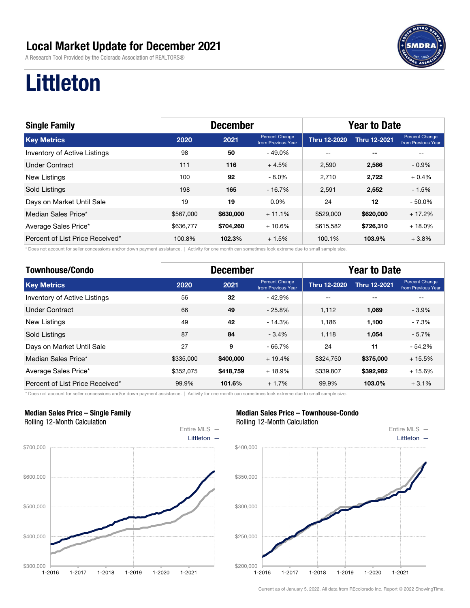A Research Tool Provided by the Colorado Association of REALTORS®



## Littleton

| <b>Single Family</b>                | <b>December</b> |           |                                      | <b>Year to Date</b> |                     |                                      |
|-------------------------------------|-----------------|-----------|--------------------------------------|---------------------|---------------------|--------------------------------------|
| <b>Key Metrics</b>                  | 2020            | 2021      | Percent Change<br>from Previous Year | <b>Thru 12-2020</b> | <b>Thru 12-2021</b> | Percent Change<br>from Previous Year |
| <b>Inventory of Active Listings</b> | 98              | 50        | $-49.0\%$                            | $- -$               | $- -$               |                                      |
| Under Contract                      | 111             | 116       | $+4.5%$                              | 2,590               | 2,566               | $-0.9%$                              |
| New Listings                        | 100             | 92        | $-8.0\%$                             | 2.710               | 2,722               | $+0.4%$                              |
| Sold Listings                       | 198             | 165       | - 16.7%                              | 2,591               | 2,552               | $-1.5%$                              |
| Days on Market Until Sale           | 19              | 19        | $0.0\%$                              | 24                  | 12                  | $-50.0%$                             |
| Median Sales Price*                 | \$567,000       | \$630,000 | $+11.1%$                             | \$529,000           | \$620,000           | $+17.2%$                             |
| Average Sales Price*                | \$636,777       | \$704,260 | $+10.6%$                             | \$615,582           | \$726,310           | $+18.0%$                             |
| Percent of List Price Received*     | 100.8%          | 102.3%    | $+1.5%$                              | 100.1%              | 103.9%              | $+3.8%$                              |

\* Does not account for seller concessions and/or down payment assistance. | Activity for one month can sometimes look extreme due to small sample size.

| <b>Townhouse/Condo</b>          | <b>December</b> |           |                                      | <b>Year to Date</b> |                     |                                      |  |
|---------------------------------|-----------------|-----------|--------------------------------------|---------------------|---------------------|--------------------------------------|--|
| <b>Key Metrics</b>              | 2020            | 2021      | Percent Change<br>from Previous Year | <b>Thru 12-2020</b> | <b>Thru 12-2021</b> | Percent Change<br>from Previous Year |  |
| Inventory of Active Listings    | 56              | 32        | $-42.9%$                             | --                  | $- -$               | --                                   |  |
| <b>Under Contract</b>           | 66              | 49        | $-25.8%$                             | 1.112               | 1,069               | $-3.9%$                              |  |
| <b>New Listings</b>             | 49              | 42        | $-14.3%$                             | 1.186               | 1,100               | $-7.3%$                              |  |
| <b>Sold Listings</b>            | 87              | 84        | $-3.4%$                              | 1.118               | 1,054               | $-5.7%$                              |  |
| Days on Market Until Sale       | 27              | 9         | $-66.7%$                             | 24                  | 11                  | $-54.2%$                             |  |
| Median Sales Price*             | \$335,000       | \$400,000 | $+19.4%$                             | \$324,750           | \$375,000           | $+15.5%$                             |  |
| Average Sales Price*            | \$352,075       | \$418,759 | $+18.9%$                             | \$339,807           | \$392,982           | $+15.6%$                             |  |
| Percent of List Price Received* | 99.9%           | 101.6%    | $+1.7%$                              | 99.9%               | 103.0%              | $+3.1%$                              |  |

\* Does not account for seller concessions and/or down payment assistance. | Activity for one month can sometimes look extreme due to small sample size.

#### Median Sales Price – Single Family Rolling 12-Month Calculation



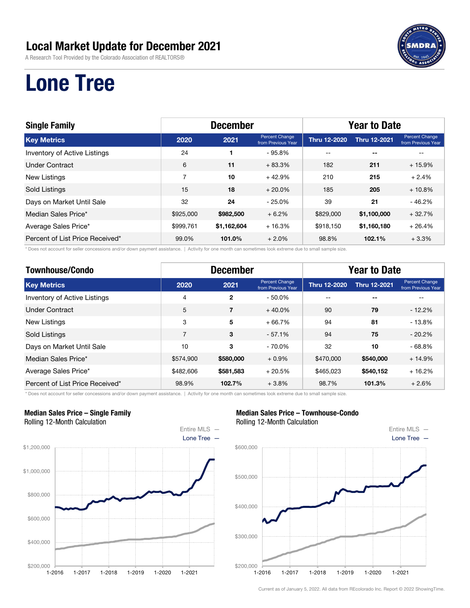A Research Tool Provided by the Colorado Association of REALTORS®



## Lone Tree

| <b>Single Family</b>                | <b>December</b> |             |                                      | <b>Year to Date</b> |                          |                                      |  |
|-------------------------------------|-----------------|-------------|--------------------------------------|---------------------|--------------------------|--------------------------------------|--|
| <b>Key Metrics</b>                  | 2020            | 2021        | Percent Change<br>from Previous Year | <b>Thru 12-2020</b> | <b>Thru 12-2021</b>      | Percent Change<br>from Previous Year |  |
| <b>Inventory of Active Listings</b> | 24              |             | $-95.8%$                             | $\qquad \qquad -$   | $\overline{\phantom{a}}$ |                                      |  |
| Under Contract                      | 6               | 11          | $+83.3%$                             | 182                 | 211                      | $+15.9%$                             |  |
| New Listings                        | 7               | 10          | $+42.9%$                             | 210                 | 215                      | $+2.4%$                              |  |
| Sold Listings                       | 15              | 18          | $+20.0%$                             | 185                 | 205                      | $+10.8%$                             |  |
| Days on Market Until Sale           | 32              | 24          | $-25.0%$                             | 39                  | 21                       | $-46.2%$                             |  |
| Median Sales Price*                 | \$925,000       | \$982,500   | $+6.2%$                              | \$829,000           | \$1,100,000              | $+32.7%$                             |  |
| Average Sales Price*                | \$999,761       | \$1,162,604 | $+16.3%$                             | \$918.150           | \$1,160,180              | $+26.4%$                             |  |
| Percent of List Price Received*     | 99.0%           | 101.0%      | $+2.0%$                              | 98.8%               | 102.1%                   | $+3.3%$                              |  |

\* Does not account for seller concessions and/or down payment assistance. | Activity for one month can sometimes look extreme due to small sample size.

| <b>Townhouse/Condo</b>          | <b>December</b> |              |                                      | <b>Year to Date</b> |                     |                                      |  |
|---------------------------------|-----------------|--------------|--------------------------------------|---------------------|---------------------|--------------------------------------|--|
| <b>Key Metrics</b>              | 2020            | 2021         | Percent Change<br>from Previous Year | <b>Thru 12-2020</b> | <b>Thru 12-2021</b> | Percent Change<br>from Previous Year |  |
| Inventory of Active Listings    | 4               | $\mathbf{2}$ | $-50.0\%$                            | --                  | $- -$               |                                      |  |
| Under Contract                  | 5               | 7            | $+40.0\%$                            | 90                  | 79                  | $-12.2%$                             |  |
| <b>New Listings</b>             | 3               | 5            | $+66.7%$                             | 94                  | 81                  | $-13.8%$                             |  |
| <b>Sold Listings</b>            | $\overline{7}$  | 3            | $-57.1%$                             | 94                  | 75                  | $-20.2%$                             |  |
| Days on Market Until Sale       | 10              | 3            | $-70.0\%$                            | 32                  | 10                  | $-68.8%$                             |  |
| Median Sales Price*             | \$574,900       | \$580,000    | $+0.9%$                              | \$470,000           | \$540,000           | $+14.9%$                             |  |
| Average Sales Price*            | \$482,606       | \$581,583    | $+20.5%$                             | \$465.023           | \$540,152           | $+16.2%$                             |  |
| Percent of List Price Received* | 98.9%           | 102.7%       | $+3.8%$                              | 98.7%               | 101.3%              | $+2.6%$                              |  |

\* Does not account for seller concessions and/or down payment assistance. | Activity for one month can sometimes look extreme due to small sample size.

#### Median Sales Price – Single Family Rolling 12-Month Calculation



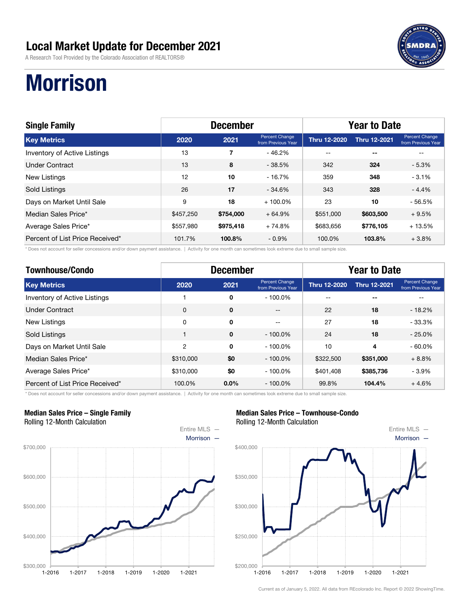A Research Tool Provided by the Colorado Association of REALTORS®



# **Morrison**

| <b>Single Family</b>                | <b>December</b> |           |                                      | <b>Year to Date</b> |                     |                                             |
|-------------------------------------|-----------------|-----------|--------------------------------------|---------------------|---------------------|---------------------------------------------|
| <b>Key Metrics</b>                  | 2020            | 2021      | Percent Change<br>from Previous Year | <b>Thru 12-2020</b> | <b>Thru 12-2021</b> | <b>Percent Change</b><br>from Previous Year |
| <b>Inventory of Active Listings</b> | 13              | 7         | - 46.2%                              | $- -$               | $- -$               |                                             |
| Under Contract                      | 13              | 8         | $-38.5%$                             | 342                 | 324                 | $-5.3%$                                     |
| New Listings                        | 12              | 10        | $-16.7%$                             | 359                 | 348                 | $-3.1%$                                     |
| Sold Listings                       | 26              | 17        | $-34.6\%$                            | 343                 | 328                 | $-4.4%$                                     |
| Days on Market Until Sale           | 9               | 18        | $+100.0\%$                           | 23                  | 10                  | $-56.5%$                                    |
| Median Sales Price*                 | \$457,250       | \$754,000 | $+64.9%$                             | \$551,000           | \$603,500           | $+9.5%$                                     |
| Average Sales Price*                | \$557,980       | \$975,418 | $+74.8%$                             | \$683,656           | \$776,105           | $+13.5%$                                    |
| Percent of List Price Received*     | 101.7%          | 100.8%    | $-0.9\%$                             | 100.0%              | 103.8%              | $+3.8%$                                     |

\* Does not account for seller concessions and/or down payment assistance. | Activity for one month can sometimes look extreme due to small sample size.

| <b>Townhouse/Condo</b>          | <b>December</b> |              |                                      | <b>Year to Date</b> |                     |                                      |  |
|---------------------------------|-----------------|--------------|--------------------------------------|---------------------|---------------------|--------------------------------------|--|
| <b>Key Metrics</b>              | 2020            | 2021         | Percent Change<br>from Previous Year | <b>Thru 12-2020</b> | <b>Thru 12-2021</b> | Percent Change<br>from Previous Year |  |
| Inventory of Active Listings    |                 | 0            | $-100.0\%$                           | --                  | $- -$               | --                                   |  |
| <b>Under Contract</b>           | 0               | $\mathbf 0$  | $-$                                  | 22                  | 18                  | $-18.2%$                             |  |
| <b>New Listings</b>             | 0               | 0            | $-$                                  | 27                  | 18                  | - 33.3%                              |  |
| <b>Sold Listings</b>            |                 | $\mathbf{0}$ | $-100.0\%$                           | 24                  | 18                  | $-25.0%$                             |  |
| Days on Market Until Sale       | 2               | $\Omega$     | $-100.0\%$                           | 10                  | 4                   | $-60.0\%$                            |  |
| Median Sales Price*             | \$310,000       | \$0          | $-100.0\%$                           | \$322,500           | \$351,000           | $+8.8%$                              |  |
| Average Sales Price*            | \$310,000       | \$0          | $-100.0\%$                           | \$401.408           | \$385,736           | $-3.9\%$                             |  |
| Percent of List Price Received* | 100.0%          | $0.0\%$      | $-100.0\%$                           | 99.8%               | 104.4%              | $+4.6%$                              |  |

\* Does not account for seller concessions and/or down payment assistance. | Activity for one month can sometimes look extreme due to small sample size.

#### Median Sales Price – Single Family Rolling 12-Month Calculation



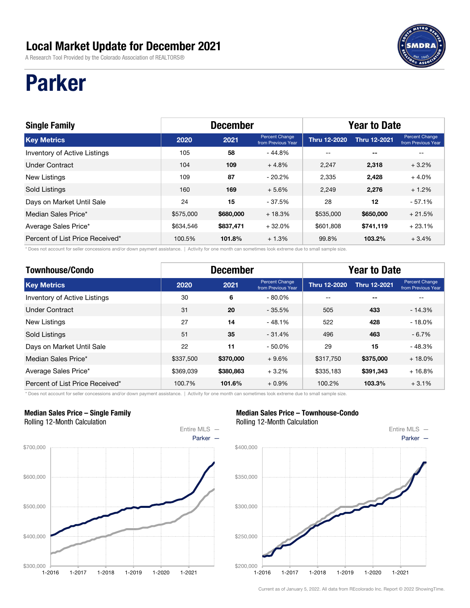A Research Tool Provided by the Colorado Association of REALTORS®

## Parker

| <b>Single Family</b>            | <b>December</b> |           |                                      | <b>Year to Date</b> |                     |                                             |  |
|---------------------------------|-----------------|-----------|--------------------------------------|---------------------|---------------------|---------------------------------------------|--|
| <b>Key Metrics</b>              | 2020            | 2021      | Percent Change<br>from Previous Year | <b>Thru 12-2020</b> | <b>Thru 12-2021</b> | <b>Percent Change</b><br>from Previous Year |  |
| Inventory of Active Listings    | 105             | 58        | $-44.8%$                             | $-$                 | $- -$               |                                             |  |
| <b>Under Contract</b>           | 104             | 109       | $+4.8%$                              | 2.247               | 2,318               | $+3.2%$                                     |  |
| New Listings                    | 109             | 87        | $-20.2%$                             | 2.335               | 2.428               | $+4.0%$                                     |  |
| Sold Listings                   | 160             | 169       | $+5.6%$                              | 2,249               | 2,276               | $+1.2%$                                     |  |
| Days on Market Until Sale       | 24              | 15        | $-37.5%$                             | 28                  | 12                  | $-57.1%$                                    |  |
| Median Sales Price*             | \$575,000       | \$680,000 | $+18.3%$                             | \$535,000           | \$650,000           | $+21.5%$                                    |  |
| Average Sales Price*            | \$634,546       | \$837,471 | $+32.0%$                             | \$601,808           | \$741,119           | $+23.1%$                                    |  |
| Percent of List Price Received* | 100.5%          | 101.8%    | $+1.3%$                              | 99.8%               | 103.2%              | $+3.4%$                                     |  |

\* Does not account for seller concessions and/or down payment assistance. | Activity for one month can sometimes look extreme due to small sample size.

| <b>Townhouse/Condo</b>          | <b>December</b> |           |                                      | <b>Year to Date</b> |                     |                                      |
|---------------------------------|-----------------|-----------|--------------------------------------|---------------------|---------------------|--------------------------------------|
| <b>Key Metrics</b>              | 2020            | 2021      | Percent Change<br>from Previous Year | <b>Thru 12-2020</b> | <b>Thru 12-2021</b> | Percent Change<br>from Previous Year |
| Inventory of Active Listings    | 30              | 6         | $-80.0\%$                            | --                  | --                  | --                                   |
| <b>Under Contract</b>           | 31              | 20        | $-35.5%$                             | 505                 | 433                 | $-14.3%$                             |
| <b>New Listings</b>             | 27              | 14        | $-48.1%$                             | 522                 | 428                 | $-18.0\%$                            |
| <b>Sold Listings</b>            | 51              | 35        | $-31.4%$                             | 496                 | 463                 | $-6.7%$                              |
| Days on Market Until Sale       | 22              | 11        | $-50.0%$                             | 29                  | 15                  | $-48.3%$                             |
| Median Sales Price*             | \$337,500       | \$370,000 | $+9.6%$                              | \$317,750           | \$375,000           | $+18.0%$                             |
| Average Sales Price*            | \$369,039       | \$380,863 | $+3.2%$                              | \$335.183           | \$391,343           | $+16.8%$                             |
| Percent of List Price Received* | 100.7%          | 101.6%    | $+0.9%$                              | 100.2%              | 103.3%              | $+3.1%$                              |

\* Does not account for seller concessions and/or down payment assistance. | Activity for one month can sometimes look extreme due to small sample size.

#### Median Sales Price – Single Family Rolling 12-Month Calculation



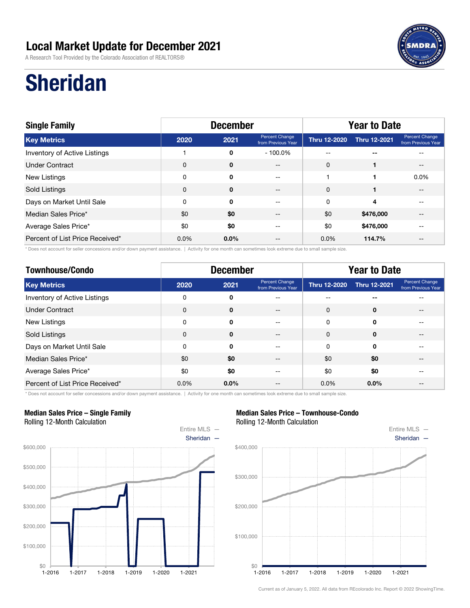A Research Tool Provided by the Colorado Association of REALTORS®



## Sheridan

| <b>Single Family</b>            | <b>December</b> |             |                                      | <b>Year to Date</b> |                     |                                      |  |
|---------------------------------|-----------------|-------------|--------------------------------------|---------------------|---------------------|--------------------------------------|--|
| <b>Key Metrics</b>              | 2020            | 2021        | Percent Change<br>from Previous Year | <b>Thru 12-2020</b> | <b>Thru 12-2021</b> | Percent Change<br>from Previous Year |  |
| Inventory of Active Listings    |                 | 0           | $-100.0\%$                           | $- -$               | $- -$               |                                      |  |
| <b>Under Contract</b>           | 0               | $\mathbf 0$ | $- -$                                | 0                   |                     | $- -$                                |  |
| New Listings                    | 0               | 0           | $-1$                                 |                     |                     | $0.0\%$                              |  |
| Sold Listings                   | $\mathbf 0$     | $\mathbf 0$ | $\qquad \qquad -$                    | $\mathbf 0$         | 1                   |                                      |  |
| Days on Market Until Sale       | 0               | $\Omega$    | $\qquad \qquad -$                    | 0                   | 4                   |                                      |  |
| Median Sales Price*             | \$0             | \$0         | $ -$                                 | \$0                 | \$476,000           |                                      |  |
| Average Sales Price*            | \$0             | \$0         | --                                   | \$0                 | \$476,000           |                                      |  |
| Percent of List Price Received* | $0.0\%$         | $0.0\%$     | --                                   | $0.0\%$             | 114.7%              |                                      |  |

\* Does not account for seller concessions and/or down payment assistance. | Activity for one month can sometimes look extreme due to small sample size.

| <b>Townhouse/Condo</b>          | <b>December</b> |             |                                      | <b>Year to Date</b> |                     |                                      |
|---------------------------------|-----------------|-------------|--------------------------------------|---------------------|---------------------|--------------------------------------|
| <b>Key Metrics</b>              | 2020            | 2021        | Percent Change<br>from Previous Year | <b>Thru 12-2020</b> | <b>Thru 12-2021</b> | Percent Change<br>from Previous Year |
| Inventory of Active Listings    | 0               | 0           | --                                   | --                  | --                  |                                      |
| <b>Under Contract</b>           | $\mathbf 0$     | $\mathbf 0$ | --                                   | 0                   | $\mathbf 0$         | --                                   |
| New Listings                    | 0               | $\Omega$    | --                                   | 0                   | 0                   | $-$                                  |
| Sold Listings                   | 0               | $\mathbf 0$ | --                                   | 0                   | $\mathbf 0$         |                                      |
| Days on Market Until Sale       | 0               | 0           | --                                   | 0                   | 0                   |                                      |
| Median Sales Price*             | \$0             | \$0         |                                      | \$0                 | \$0                 |                                      |
| Average Sales Price*            | \$0             | \$0         | --                                   | \$0                 | \$0                 |                                      |
| Percent of List Price Received* | 0.0%            | $0.0\%$     | --                                   | $0.0\%$             | $0.0\%$             | $- -$                                |

\* Does not account for seller concessions and/or down payment assistance. | Activity for one month can sometimes look extreme due to small sample size.

#### Median Sales Price – Single Family Rolling 12-Month Calculation